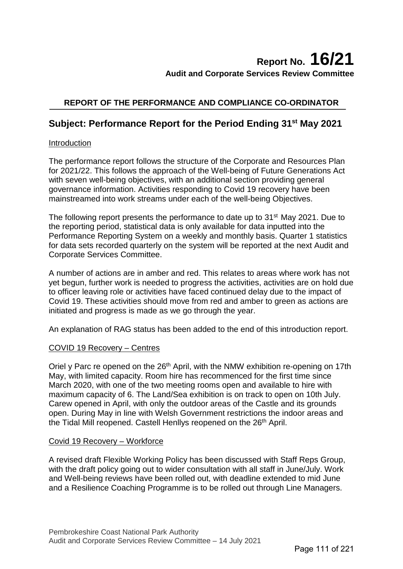# **Report No. 16/21 Audit and Corporate Services Review Committee**

# **REPORT OF THE PERFORMANCE AND COMPLIANCE CO-ORDINATOR**

# **Subject: Performance Report for the Period Ending 31st May 2021**

# Introduction

The performance report follows the structure of the Corporate and Resources Plan for 2021/22. This follows the approach of the Well-being of Future Generations Act with seven well-being objectives, with an additional section providing general governance information. Activities responding to Covid 19 recovery have been mainstreamed into work streams under each of the well-being Objectives.

The following report presents the performance to date up to 31<sup>st</sup> May 2021. Due to the reporting period, statistical data is only available for data inputted into the Performance Reporting System on a weekly and monthly basis. Quarter 1 statistics for data sets recorded quarterly on the system will be reported at the next Audit and Corporate Services Committee.

A number of actions are in amber and red. This relates to areas where work has not yet begun, further work is needed to progress the activities, activities are on hold due to officer leaving role or activities have faced continued delay due to the impact of Covid 19. These activities should move from red and amber to green as actions are initiated and progress is made as we go through the year.

An explanation of RAG status has been added to the end of this introduction report.

# COVID 19 Recovery – Centres

Oriel y Parc re opened on the 26<sup>th</sup> April, with the NMW exhibition re-opening on 17th May, with limited capacity. Room hire has recommenced for the first time since March 2020, with one of the two meeting rooms open and available to hire with maximum capacity of 6. The Land/Sea exhibition is on track to open on 10th July. Carew opened in April, with only the outdoor areas of the Castle and its grounds open. During May in line with Welsh Government restrictions the indoor areas and the Tidal Mill reopened. Castell Henllys reopened on the 26<sup>th</sup> April.

# Covid 19 Recovery – Workforce

A revised draft Flexible Working Policy has been discussed with Staff Reps Group, with the draft policy going out to wider consultation with all staff in June/July. Work and Well-being reviews have been rolled out, with deadline extended to mid June and a Resilience Coaching Programme is to be rolled out through Line Managers.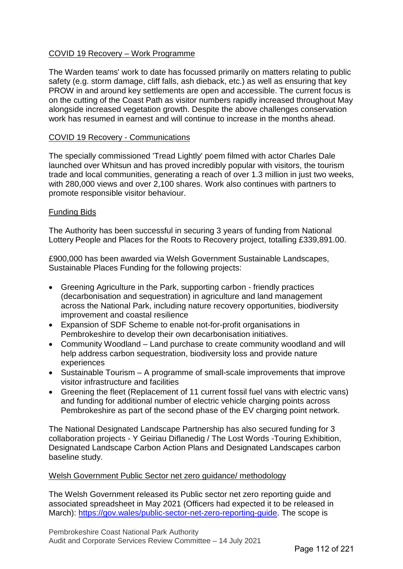# COVID 19 Recovery – Work Programme

The Warden teams' work to date has focussed primarily on matters relating to public safety (e.g. storm damage, cliff falls, ash dieback, etc.) as well as ensuring that key PROW in and around key settlements are open and accessible. The current focus is on the cutting of the Coast Path as visitor numbers rapidly increased throughout May alongside increased vegetation growth. Despite the above challenges conservation work has resumed in earnest and will continue to increase in the months ahead.

# COVID 19 Recovery - Communications

The specially commissioned 'Tread Lightly' poem filmed with actor Charles Dale launched over Whitsun and has proved incredibly popular with visitors, the tourism trade and local communities, generating a reach of over 1.3 million in just two weeks, with 280,000 views and over 2,100 shares. Work also continues with partners to promote responsible visitor behaviour.

# Funding Bids

The Authority has been successful in securing 3 years of funding from National Lottery People and Places for the Roots to Recovery project, totalling £339,891.00.

£900,000 has been awarded via Welsh Government Sustainable Landscapes, Sustainable Places Funding for the following projects:

- Greening Agriculture in the Park, supporting carbon friendly practices (decarbonisation and sequestration) in agriculture and land management across the National Park, including nature recovery opportunities, biodiversity improvement and coastal resilience
- Expansion of SDF Scheme to enable not-for-profit organisations in Pembrokeshire to develop their own decarbonisation initiatives.
- Community Woodland Land purchase to create community woodland and will help address carbon sequestration, biodiversity loss and provide nature experiences
- Sustainable Tourism A programme of small-scale improvements that improve visitor infrastructure and facilities
- Greening the fleet (Replacement of 11 current fossil fuel vans with electric vans) and funding for additional number of electric vehicle charging points across Pembrokeshire as part of the second phase of the EV charging point network.

The National Designated Landscape Partnership has also secured funding for 3 collaboration projects - Y Geiriau Diflanedig / The Lost Words -Touring Exhibition, Designated Landscape Carbon Action Plans and Designated Landscapes carbon baseline study.

#### Welsh Government Public Sector net zero guidance/ methodology

The Welsh Government released its Public sector net zero reporting guide and associated spreadsheet in May 2021 (Officers had expected it to be released in March): [https://gov.wales/public-sector-net-zero-reporting-guide.](https://gov.wales/public-sector-net-zero-reporting-guide) The scope is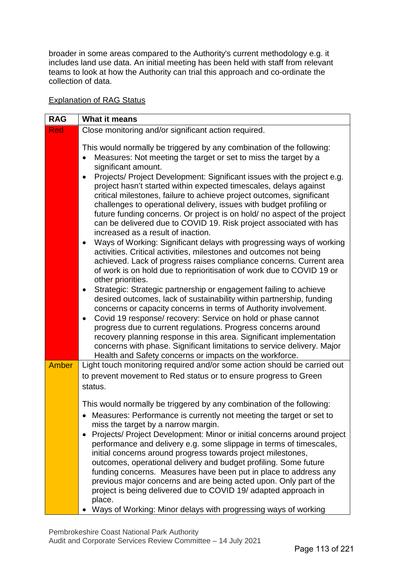broader in some areas compared to the Authority's current methodology e.g. it includes land use data. An initial meeting has been held with staff from relevant teams to look at how the Authority can trial this approach and co-ordinate the collection of data.

# Explanation of RAG Status

| <b>RAG</b>   | What it means                                                                                                                                                                                                                                                                                                                                                                                                                                                                                                                                                                                                                                                                                                                                                                                                                         |
|--------------|---------------------------------------------------------------------------------------------------------------------------------------------------------------------------------------------------------------------------------------------------------------------------------------------------------------------------------------------------------------------------------------------------------------------------------------------------------------------------------------------------------------------------------------------------------------------------------------------------------------------------------------------------------------------------------------------------------------------------------------------------------------------------------------------------------------------------------------|
| <b>Red</b>   | Close monitoring and/or significant action required.                                                                                                                                                                                                                                                                                                                                                                                                                                                                                                                                                                                                                                                                                                                                                                                  |
|              | This would normally be triggered by any combination of the following:<br>Measures: Not meeting the target or set to miss the target by a<br>significant amount.<br>Projects/ Project Development: Significant issues with the project e.g.<br>$\bullet$<br>project hasn't started within expected timescales, delays against<br>critical milestones, failure to achieve project outcomes, significant<br>challenges to operational delivery, issues with budget profiling or<br>future funding concerns. Or project is on hold/ no aspect of the project<br>can be delivered due to COVID 19. Risk project associated with has<br>increased as a result of inaction.                                                                                                                                                                  |
|              | Ways of Working: Significant delays with progressing ways of working<br>$\bullet$<br>activities. Critical activities, milestones and outcomes not being<br>achieved. Lack of progress raises compliance concerns. Current area<br>of work is on hold due to reprioritisation of work due to COVID 19 or<br>other priorities.<br>Strategic: Strategic partnership or engagement failing to achieve<br>٠<br>desired outcomes, lack of sustainability within partnership, funding<br>concerns or capacity concerns in terms of Authority involvement.<br>Covid 19 response/ recovery: Service on hold or phase cannot<br>progress due to current regulations. Progress concerns around<br>recovery planning response in this area. Significant implementation<br>concerns with phase. Significant limitations to service delivery. Major |
|              | Health and Safety concerns or impacts on the workforce.                                                                                                                                                                                                                                                                                                                                                                                                                                                                                                                                                                                                                                                                                                                                                                               |
| <b>Amber</b> | Light touch monitoring required and/or some action should be carried out<br>to prevent movement to Red status or to ensure progress to Green<br>status.                                                                                                                                                                                                                                                                                                                                                                                                                                                                                                                                                                                                                                                                               |
|              | This would normally be triggered by any combination of the following:<br>Measures: Performance is currently not meeting the target or set to<br>miss the target by a narrow margin.<br>Projects/ Project Development: Minor or initial concerns around project<br>performance and delivery e.g. some slippage in terms of timescales,<br>initial concerns around progress towards project milestones,<br>outcomes, operational delivery and budget profiling. Some future<br>funding concerns. Measures have been put in place to address any<br>previous major concerns and are being acted upon. Only part of the<br>project is being delivered due to COVID 19/ adapted approach in<br>place.<br>Ways of Working: Minor delays with progressing ways of working                                                                    |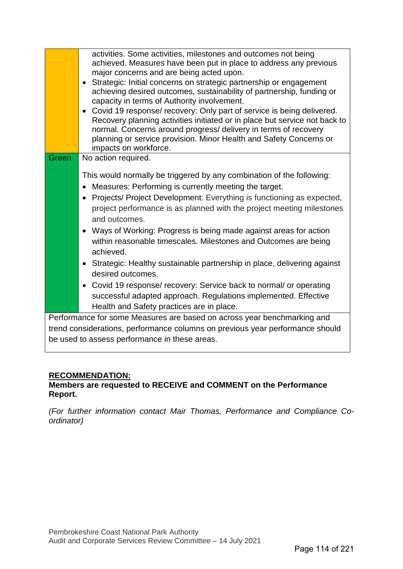|       | activities. Some activities, milestones and outcomes not being<br>achieved. Measures have been put in place to address any previous<br>major concerns and are being acted upon.<br>• Strategic: Initial concerns on strategic partnership or engagement<br>achieving desired outcomes, sustainability of partnership, funding or<br>capacity in terms of Authority involvement.<br>Covid 19 response/ recovery: Only part of service is being delivered.<br>$\bullet$<br>Recovery planning activities initiated or in place but service not back to<br>normal. Concerns around progress/ delivery in terms of recovery<br>planning or service provision. Minor Health and Safety Concerns or<br>impacts on workforce. |
|-------|-----------------------------------------------------------------------------------------------------------------------------------------------------------------------------------------------------------------------------------------------------------------------------------------------------------------------------------------------------------------------------------------------------------------------------------------------------------------------------------------------------------------------------------------------------------------------------------------------------------------------------------------------------------------------------------------------------------------------|
| Green | No action required.                                                                                                                                                                                                                                                                                                                                                                                                                                                                                                                                                                                                                                                                                                   |
|       | This would normally be triggered by any combination of the following:<br>Measures: Performing is currently meeting the target.<br>$\bullet$<br>Projects/ Project Development: Everything is functioning as expected,<br>$\bullet$<br>project performance is as planned with the project meeting milestones<br>and outcomes.<br>Ways of Working: Progress is being made against areas for action<br>$\bullet$<br>within reasonable timescales. Milestones and Outcomes are being<br>achieved.                                                                                                                                                                                                                          |
|       | Strategic: Healthy sustainable partnership in place, delivering against<br>$\bullet$<br>desired outcomes.                                                                                                                                                                                                                                                                                                                                                                                                                                                                                                                                                                                                             |
|       | Covid 19 response/ recovery: Service back to normal/ or operating<br>$\bullet$                                                                                                                                                                                                                                                                                                                                                                                                                                                                                                                                                                                                                                        |
|       | successful adapted approach. Regulations implemented. Effective                                                                                                                                                                                                                                                                                                                                                                                                                                                                                                                                                                                                                                                       |
|       | Health and Safety practices are in place.                                                                                                                                                                                                                                                                                                                                                                                                                                                                                                                                                                                                                                                                             |
|       | Performance for some Measures are based on across year benchmarking and                                                                                                                                                                                                                                                                                                                                                                                                                                                                                                                                                                                                                                               |
|       | trend considerations, performance columns on previous year performance should                                                                                                                                                                                                                                                                                                                                                                                                                                                                                                                                                                                                                                         |
|       | be used to assess performance in these areas.                                                                                                                                                                                                                                                                                                                                                                                                                                                                                                                                                                                                                                                                         |

# **RECOMMENDATION:**

# **Members are requested to RECEIVE and COMMENT on the Performance Report.**

*(For further information contact Mair Thomas, Performance and Compliance Coordinator)*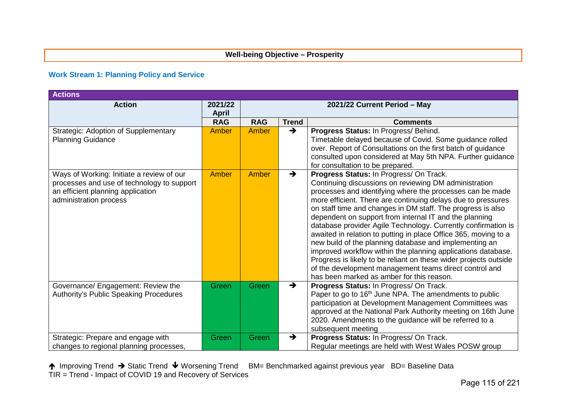#### **Well-being Objective – Prosperity**

#### **Work Stream 1: Planning Policy and Service**

| <b>Actions</b>                                                                                                                                         |                         |                              |               |                                                                                                                                                                                                                                                                                                                                                                                                                                                                                                                                                                                                                                                                                                                                                                                                 |  |  |  |  |
|--------------------------------------------------------------------------------------------------------------------------------------------------------|-------------------------|------------------------------|---------------|-------------------------------------------------------------------------------------------------------------------------------------------------------------------------------------------------------------------------------------------------------------------------------------------------------------------------------------------------------------------------------------------------------------------------------------------------------------------------------------------------------------------------------------------------------------------------------------------------------------------------------------------------------------------------------------------------------------------------------------------------------------------------------------------------|--|--|--|--|
| <b>Action</b>                                                                                                                                          | 2021/22<br><b>April</b> | 2021/22 Current Period - May |               |                                                                                                                                                                                                                                                                                                                                                                                                                                                                                                                                                                                                                                                                                                                                                                                                 |  |  |  |  |
|                                                                                                                                                        | <b>RAG</b>              | <b>RAG</b>                   | <b>Trend</b>  | <b>Comments</b>                                                                                                                                                                                                                                                                                                                                                                                                                                                                                                                                                                                                                                                                                                                                                                                 |  |  |  |  |
| <b>Strategic: Adoption of Supplementary</b><br><b>Planning Guidance</b>                                                                                | <b>Amber</b>            | Amber                        | $\rightarrow$ | Progress Status: In Progress/ Behind.<br>Timetable delayed because of Covid. Some guidance rolled<br>over. Report of Consultations on the first batch of guidance<br>consulted upon considered at May 5th NPA. Further guidance<br>for consultation to be prepared.                                                                                                                                                                                                                                                                                                                                                                                                                                                                                                                             |  |  |  |  |
| Ways of Working: Initiate a review of our<br>processes and use of technology to support<br>an efficient planning application<br>administration process | <b>Amber</b>            | Amber                        | $\rightarrow$ | Progress Status: In Progress/ On Track.<br>Continuing discussions on reviewing DM administration<br>processes and identifying where the processes can be made<br>more efficient. There are continuing delays due to pressures<br>on staff time and changes in DM staff. The progress is also<br>dependent on support from internal IT and the planning<br>database provider Agile Technology. Currently confirmation is<br>awaited in relation to putting in place Office 365, moving to a<br>new build of the planning database and implementing an<br>improved workflow within the planning applications database.<br>Progress is likely to be reliant on these wider projects outside<br>of the development management teams direct control and<br>has been marked as amber for this reason. |  |  |  |  |
| Governance/ Engagement: Review the<br><b>Authority's Public Speaking Procedures</b>                                                                    | Green                   | Green                        | $\rightarrow$ | Progress Status: In Progress/ On Track.<br>Paper to go to 16 <sup>th</sup> June NPA. The amendments to public<br>participation at Development Management Committees was<br>approved at the National Park Authority meeting on 16th June<br>2020. Amendments to the guidance will be referred to a<br>subsequent meeting                                                                                                                                                                                                                                                                                                                                                                                                                                                                         |  |  |  |  |
| Strategic: Prepare and engage with<br>changes to regional planning processes,                                                                          | Green                   | Green                        | $\rightarrow$ | Progress Status: In Progress/ On Track.<br>Regular meetings are held with West Wales POSW group                                                                                                                                                                                                                                                                                                                                                                                                                                                                                                                                                                                                                                                                                                 |  |  |  |  |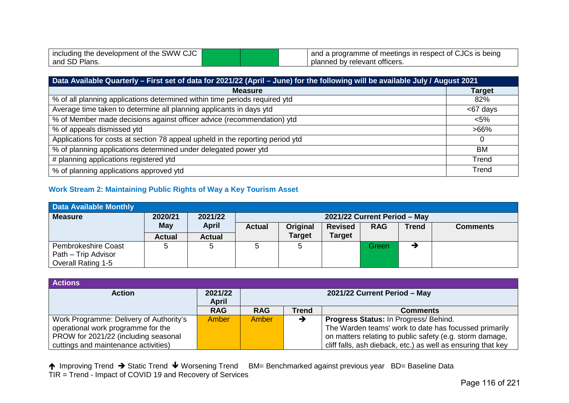| including the development of the SWW CJC |  | I and a programme of meetings in respect of CJCs is being |
|------------------------------------------|--|-----------------------------------------------------------|
| and SD Plans.                            |  | I planned by relevant officers.                           |

| Data Available Quarterly - First set of data for 2021/22 (April - June) for the following will be available July / August 2021 |               |  |  |  |
|--------------------------------------------------------------------------------------------------------------------------------|---------------|--|--|--|
| <b>Measure</b>                                                                                                                 | <b>Target</b> |  |  |  |
| % of all planning applications determined within time periods required ytd                                                     | 82%           |  |  |  |
| Average time taken to determine all planning applicants in days ytd                                                            | <67 days      |  |  |  |
| % of Member made decisions against officer advice (recommendation) ytd                                                         | $< 5\%$       |  |  |  |
| % of appeals dismissed ytd                                                                                                     | $>66\%$       |  |  |  |
| Applications for costs at section 78 appeal upheld in the reporting period ytd                                                 |               |  |  |  |
| % of planning applications determined under delegated power ytd                                                                | BM            |  |  |  |
| # planning applications registered ytd                                                                                         | Trend         |  |  |  |
| % of planning applications approved ytd                                                                                        | Trend         |  |  |  |

# **Work Stream 2: Maintaining Public Rights of Way a Key Tourism Asset**

| <b>Data Available Monthly</b>                                        |               |               |               |               |                |            |              |                 |
|----------------------------------------------------------------------|---------------|---------------|---------------|---------------|----------------|------------|--------------|-----------------|
| 2021/22<br>2020/21<br>2021/22 Current Period - May<br><b>Measure</b> |               |               |               |               |                |            |              |                 |
|                                                                      | May           | <b>April</b>  | <b>Actual</b> | Original      | <b>Revised</b> | <b>RAG</b> | <b>Trend</b> | <b>Comments</b> |
|                                                                      | <b>Actual</b> | <b>Actual</b> |               | <b>Target</b> | <b>Target</b>  |            |              |                 |
| <b>Pembrokeshire Coast</b>                                           | 5             |               |               |               |                | Green      |              |                 |
| Path - Trip Advisor                                                  |               |               |               |               |                |            |              |                 |
| <b>Overall Rating 1-5</b>                                            |               |               |               |               |                |            |              |                 |

| <b>Actions</b>                          |            |                                              |       |                                                              |  |  |  |
|-----------------------------------------|------------|----------------------------------------------|-------|--------------------------------------------------------------|--|--|--|
| <b>Action</b>                           | 2021/22    | 2021/22 Current Period - May<br><b>April</b> |       |                                                              |  |  |  |
|                                         | <b>RAG</b> | <b>RAG</b>                                   | Trend | <b>Comments</b>                                              |  |  |  |
| Work Programme: Delivery of Authority's | Amber      | Amber                                        |       | Progress Status: In Progress/ Behind.                        |  |  |  |
| operational work programme for the      |            |                                              |       | The Warden teams' work to date has focussed primarily        |  |  |  |
| PROW for 2021/22 (including seasonal    |            |                                              |       | on matters relating to public safety (e.g. storm damage,     |  |  |  |
| cuttings and maintenance activities)    |            |                                              |       | cliff falls, ash dieback, etc.) as well as ensuring that key |  |  |  |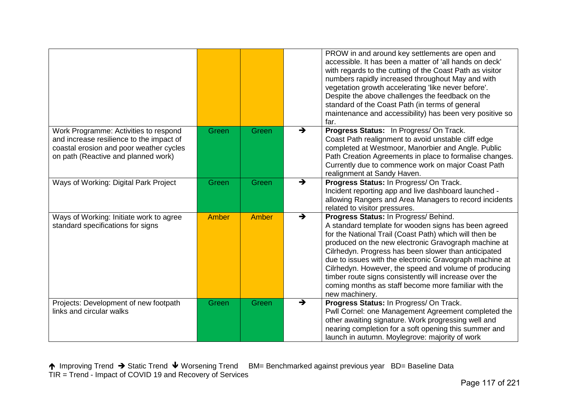|                                                                                                                                                                     |              |       |               | PROW in and around key settlements are open and<br>accessible. It has been a matter of 'all hands on deck'<br>with regards to the cutting of the Coast Path as visitor<br>numbers rapidly increased throughout May and with<br>vegetation growth accelerating 'like never before'.<br>Despite the above challenges the feedback on the<br>standard of the Coast Path (in terms of general<br>maintenance and accessibility) has been very positive so<br>far.                                                                   |
|---------------------------------------------------------------------------------------------------------------------------------------------------------------------|--------------|-------|---------------|---------------------------------------------------------------------------------------------------------------------------------------------------------------------------------------------------------------------------------------------------------------------------------------------------------------------------------------------------------------------------------------------------------------------------------------------------------------------------------------------------------------------------------|
| Work Programme: Activities to respond<br>and increase resilience to the impact of<br>coastal erosion and poor weather cycles<br>on path (Reactive and planned work) | Green        | Green | $\rightarrow$ | Progress Status: In Progress/On Track.<br>Coast Path realignment to avoid unstable cliff edge<br>completed at Westmoor, Manorbier and Angle. Public<br>Path Creation Agreements in place to formalise changes.<br>Currently due to commence work on major Coast Path<br>realignment at Sandy Haven.                                                                                                                                                                                                                             |
| Ways of Working: Digital Park Project                                                                                                                               | Green        | Green | $\rightarrow$ | Progress Status: In Progress/ On Track.<br>Incident reporting app and live dashboard launched -<br>allowing Rangers and Area Managers to record incidents<br>related to visitor pressures.                                                                                                                                                                                                                                                                                                                                      |
| Ways of Working: Initiate work to agree<br>standard specifications for signs                                                                                        | <b>Amber</b> | Amber | $\rightarrow$ | Progress Status: In Progress/ Behind.<br>A standard template for wooden signs has been agreed<br>for the National Trail (Coast Path) which will then be<br>produced on the new electronic Gravograph machine at<br>Cilrhedyn. Progress has been slower than anticipated<br>due to issues with the electronic Gravograph machine at<br>Cilrhedyn. However, the speed and volume of producing<br>timber route signs consistently will increase over the<br>coming months as staff become more familiar with the<br>new machinery. |
| Projects: Development of new footpath<br>links and circular walks                                                                                                   | Green        | Green | $\rightarrow$ | Progress Status: In Progress/On Track.<br>Pwll Cornel: one Management Agreement completed the<br>other awaiting signature. Work progressing well and<br>nearing completion for a soft opening this summer and<br>launch in autumn. Moylegrove: majority of work                                                                                                                                                                                                                                                                 |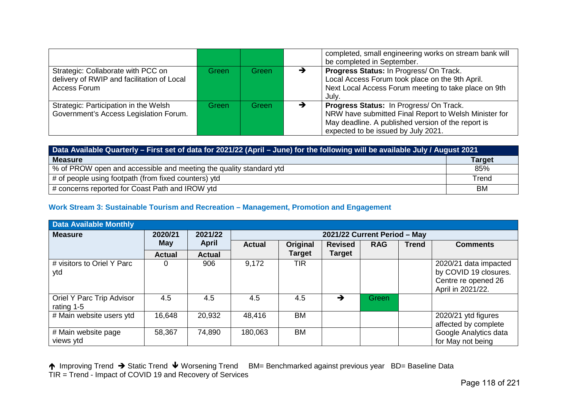|                                                                                                  |       |       |   | completed, small engineering works on stream bank will<br>be completed in September.                                                                                                          |
|--------------------------------------------------------------------------------------------------|-------|-------|---|-----------------------------------------------------------------------------------------------------------------------------------------------------------------------------------------------|
| Strategic: Collaborate with PCC on<br>delivery of RWIP and facilitation of Local<br>Access Forum | Green | Green | → | Progress Status: In Progress/ On Track.<br>Local Access Forum took place on the 9th April.<br>Next Local Access Forum meeting to take place on 9th<br>July.                                   |
| Strategic: Participation in the Welsh<br>Government's Access Legislation Forum.                  | Green | Green | → | Progress Status: In Progress/ On Track.<br>NRW have submitted Final Report to Welsh Minister for<br>May deadline. A published version of the report is<br>expected to be issued by July 2021. |

| Data Available Quarterly – First set of data for 2021/22 (April – June) for the following will be available July / August 2021 |               |  |  |  |  |
|--------------------------------------------------------------------------------------------------------------------------------|---------------|--|--|--|--|
| <b>Measure</b>                                                                                                                 | <b>Target</b> |  |  |  |  |
| % of PROW open and accessible and meeting the quality standard ytd                                                             | 85%           |  |  |  |  |
| # of people using footpath (from fixed counters) ytd                                                                           | Trend         |  |  |  |  |
| # concerns reported for Coast Path and IROW ytd                                                                                | <b>BM</b>     |  |  |  |  |

# **Work Stream 3: Sustainable Tourism and Recreation – Management, Promotion and Engagement**

| <b>Data Available Monthly</b>           |               |               |               |                              |                |            |              |                                                                                            |  |
|-----------------------------------------|---------------|---------------|---------------|------------------------------|----------------|------------|--------------|--------------------------------------------------------------------------------------------|--|
| <b>Measure</b>                          | 2020/21       | 2021/22       |               | 2021/22 Current Period - May |                |            |              |                                                                                            |  |
|                                         | May           | <b>April</b>  | <b>Actual</b> | Original                     | <b>Revised</b> | <b>RAG</b> | <b>Trend</b> | <b>Comments</b>                                                                            |  |
|                                         | <b>Actual</b> | <b>Actual</b> |               | <b>Target</b>                | <b>Target</b>  |            |              |                                                                                            |  |
| # visitors to Oriel Y Parc<br>ytd       | 0             | 906           | 9,172         | <b>TIR</b>                   |                |            |              | 2020/21 data impacted<br>by COVID 19 closures.<br>Centre re opened 26<br>April in 2021/22. |  |
| Oriel Y Parc Trip Advisor<br>rating 1-5 | 4.5           | 4.5           | 4.5           | 4.5                          | →              | Green      |              |                                                                                            |  |
| # Main website users ytd                | 16,648        | 20,932        | 48,416        | <b>BM</b>                    |                |            |              | 2020/21 ytd figures<br>affected by complete                                                |  |
| # Main website page<br>views ytd        | 58,367        | 74,890        | 180,063       | ВM                           |                |            |              | Google Analytics data<br>for May not being                                                 |  |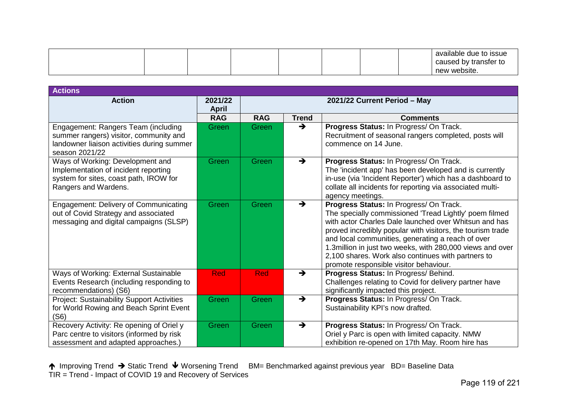|  |  |  |  | available due to issue<br>caused by transfer to<br>new website. |
|--|--|--|--|-----------------------------------------------------------------|
|--|--|--|--|-----------------------------------------------------------------|

| <b>Actions</b>                                                                                                                                |                         |                              |               |                                                                                                                                                                                                                                                                                                                                                                                                                                            |  |  |
|-----------------------------------------------------------------------------------------------------------------------------------------------|-------------------------|------------------------------|---------------|--------------------------------------------------------------------------------------------------------------------------------------------------------------------------------------------------------------------------------------------------------------------------------------------------------------------------------------------------------------------------------------------------------------------------------------------|--|--|
| <b>Action</b>                                                                                                                                 | 2021/22<br><b>April</b> | 2021/22 Current Period - May |               |                                                                                                                                                                                                                                                                                                                                                                                                                                            |  |  |
|                                                                                                                                               | <b>RAG</b>              | <b>RAG</b>                   | <b>Trend</b>  | <b>Comments</b>                                                                                                                                                                                                                                                                                                                                                                                                                            |  |  |
| Engagement: Rangers Team (including<br>summer rangers) visitor, community and<br>landowner liaison activities during summer<br>season 2021/22 | Green                   | <b>Green</b>                 | $\rightarrow$ | Progress Status: In Progress/ On Track.<br>Recruitment of seasonal rangers completed, posts will<br>commence on 14 June.                                                                                                                                                                                                                                                                                                                   |  |  |
| Ways of Working: Development and<br>Implementation of incident reporting<br>system for sites, coast path, IROW for<br>Rangers and Wardens.    | Green                   | Green                        | $\rightarrow$ | Progress Status: In Progress/ On Track.<br>The 'incident app' has been developed and is currently<br>in-use (via 'Incident Reporter') which has a dashboard to<br>collate all incidents for reporting via associated multi-<br>agency meetings.                                                                                                                                                                                            |  |  |
| Engagement: Delivery of Communicating<br>out of Covid Strategy and associated<br>messaging and digital campaigns (SLSP)                       | Green                   | Green                        | $\rightarrow$ | Progress Status: In Progress/ On Track.<br>The specially commissioned 'Tread Lightly' poem filmed<br>with actor Charles Dale launched over Whitsun and has<br>proved incredibly popular with visitors, the tourism trade<br>and local communities, generating a reach of over<br>1.3million in just two weeks, with 280,000 views and over<br>2,100 shares. Work also continues with partners to<br>promote responsible visitor behaviour. |  |  |
| Ways of Working: External Sustainable<br>Events Research (including responding to<br>recommendations) (S6)                                    | <b>Red</b>              | <b>Red</b>                   | $\rightarrow$ | Progress Status: In Progress/ Behind.<br>Challenges relating to Covid for delivery partner have<br>significantly impacted this project.                                                                                                                                                                                                                                                                                                    |  |  |
| <b>Project: Sustainability Support Activities</b><br>for World Rowing and Beach Sprint Event<br>(S6)                                          | Green                   | Green                        | $\rightarrow$ | Progress Status: In Progress/ On Track.<br>Sustainability KPI's now drafted.                                                                                                                                                                                                                                                                                                                                                               |  |  |
| Recovery Activity: Re opening of Oriel y<br>Parc centre to visitors (informed by risk<br>assessment and adapted approaches.)                  | Green                   | Green                        | $\rightarrow$ | Progress Status: In Progress/ On Track.<br>Oriel y Parc is open with limited capacity. NMW<br>exhibition re-opened on 17th May. Room hire has                                                                                                                                                                                                                                                                                              |  |  |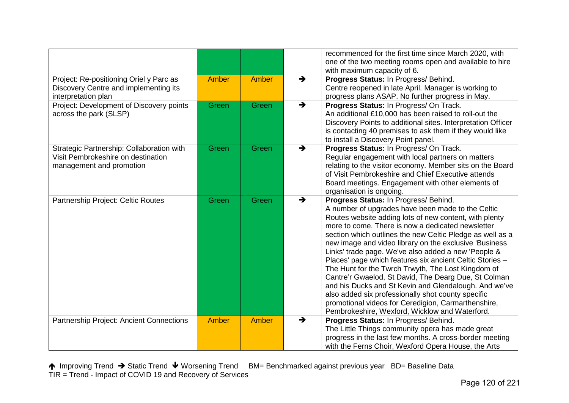|                                                                                                             |              |       |                                  | recommenced for the first time since March 2020, with<br>one of the two meeting rooms open and available to hire<br>with maximum capacity of 6.                                                                                                                                                                                                                                                                                                                                                                                                                                                                                                                                                                                                                                           |
|-------------------------------------------------------------------------------------------------------------|--------------|-------|----------------------------------|-------------------------------------------------------------------------------------------------------------------------------------------------------------------------------------------------------------------------------------------------------------------------------------------------------------------------------------------------------------------------------------------------------------------------------------------------------------------------------------------------------------------------------------------------------------------------------------------------------------------------------------------------------------------------------------------------------------------------------------------------------------------------------------------|
| Project: Re-positioning Oriel y Parc as<br>Discovery Centre and implementing its<br>interpretation plan     | Amber        | Amber | $\rightarrow$                    | Progress Status: In Progress/ Behind.<br>Centre reopened in late April. Manager is working to<br>progress plans ASAP. No further progress in May.                                                                                                                                                                                                                                                                                                                                                                                                                                                                                                                                                                                                                                         |
| Project: Development of Discovery points<br>across the park (SLSP)                                          | Green        | Green | $\overline{\blacktriangleright}$ | Progress Status: In Progress/ On Track.<br>An additional £10,000 has been raised to roll-out the<br>Discovery Points to additional sites. Interpretation Officer<br>is contacting 40 premises to ask them if they would like<br>to install a Discovery Point panel.                                                                                                                                                                                                                                                                                                                                                                                                                                                                                                                       |
| Strategic Partnership: Collaboration with<br>Visit Pembrokeshire on destination<br>management and promotion | Green        | Green | $\rightarrow$                    | Progress Status: In Progress/ On Track.<br>Regular engagement with local partners on matters<br>relating to the visitor economy. Member sits on the Board<br>of Visit Pembrokeshire and Chief Executive attends<br>Board meetings. Engagement with other elements of<br>organisation is ongoing.                                                                                                                                                                                                                                                                                                                                                                                                                                                                                          |
| Partnership Project: Celtic Routes                                                                          | Green        | Green | $\rightarrow$                    | Progress Status: In Progress/ Behind.<br>A number of upgrades have been made to the Celtic<br>Routes website adding lots of new content, with plenty<br>more to come. There is now a dedicated newsletter<br>section which outlines the new Celtic Pledge as well as a<br>new image and video library on the exclusive 'Business<br>Links' trade page. We've also added a new 'People &<br>Places' page which features six ancient Celtic Stories -<br>The Hunt for the Twrch Trwyth, The Lost Kingdom of<br>Cantre'r Gwaelod, St David, The Dearg Due, St Colman<br>and his Ducks and St Kevin and Glendalough. And we've<br>also added six professionally shot county specific<br>promotional videos for Ceredigion, Carmarthenshire,<br>Pembrokeshire, Wexford, Wicklow and Waterford. |
| Partnership Project: Ancient Connections                                                                    | <b>Amber</b> | Amber | $\rightarrow$                    | Progress Status: In Progress/ Behind.<br>The Little Things community opera has made great<br>progress in the last few months. A cross-border meeting<br>with the Ferns Choir, Wexford Opera House, the Arts                                                                                                                                                                                                                                                                                                                                                                                                                                                                                                                                                                               |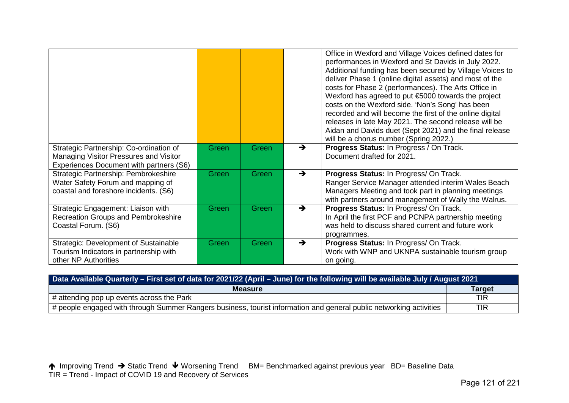|                                                                                                                              |       |       |               | Office in Wexford and Village Voices defined dates for<br>performances in Wexford and St Davids in July 2022.<br>Additional funding has been secured by Village Voices to<br>deliver Phase 1 (online digital assets) and most of the<br>costs for Phase 2 (performances). The Arts Office in<br>Wexford has agreed to put €5000 towards the project<br>costs on the Wexford side. 'Non's Song' has been<br>recorded and will become the first of the online digital<br>releases in late May 2021. The second release will be<br>Aidan and Davids duet (Sept 2021) and the final release<br>will be a chorus number (Spring 2022.) |
|------------------------------------------------------------------------------------------------------------------------------|-------|-------|---------------|-----------------------------------------------------------------------------------------------------------------------------------------------------------------------------------------------------------------------------------------------------------------------------------------------------------------------------------------------------------------------------------------------------------------------------------------------------------------------------------------------------------------------------------------------------------------------------------------------------------------------------------|
| Strategic Partnership: Co-ordination of<br>Managing Visitor Pressures and Visitor<br>Experiences Document with partners (S6) | Green | Green | $\rightarrow$ | Progress Status: In Progress / On Track.<br>Document drafted for 2021.                                                                                                                                                                                                                                                                                                                                                                                                                                                                                                                                                            |
| Strategic Partnership: Pembrokeshire<br>Water Safety Forum and mapping of<br>coastal and foreshore incidents. (S6)           | Green | Green | $\rightarrow$ | Progress Status: In Progress/ On Track.<br>Ranger Service Manager attended interim Wales Beach<br>Managers Meeting and took part in planning meetings<br>with partners around management of Wally the Walrus.                                                                                                                                                                                                                                                                                                                                                                                                                     |
| Strategic Engagement: Liaison with<br><b>Recreation Groups and Pembrokeshire</b><br>Coastal Forum. (S6)                      | Green | Green | $\rightarrow$ | Progress Status: In Progress/ On Track.<br>In April the first PCF and PCNPA partnership meeting<br>was held to discuss shared current and future work<br>programmes.                                                                                                                                                                                                                                                                                                                                                                                                                                                              |
| Strategic: Development of Sustainable<br>Tourism Indicators in partnership with<br>other NP Authorities                      | Green | Green | →             | Progress Status: In Progress/ On Track.<br>Work with WNP and UKNPA sustainable tourism group<br>on going.                                                                                                                                                                                                                                                                                                                                                                                                                                                                                                                         |

| Data Available Quarterly - First set of data for 2021/22 (April - June) for the following will be available July / August 2021 |               |  |  |  |  |
|--------------------------------------------------------------------------------------------------------------------------------|---------------|--|--|--|--|
| <b>Measure</b>                                                                                                                 | <b>Target</b> |  |  |  |  |
| $\#$ attending pop up events across the Park                                                                                   | <b>TIR</b>    |  |  |  |  |
| $\#$ people engaged with through Summer Rangers business, tourist information and general public networking activities         | TIR           |  |  |  |  |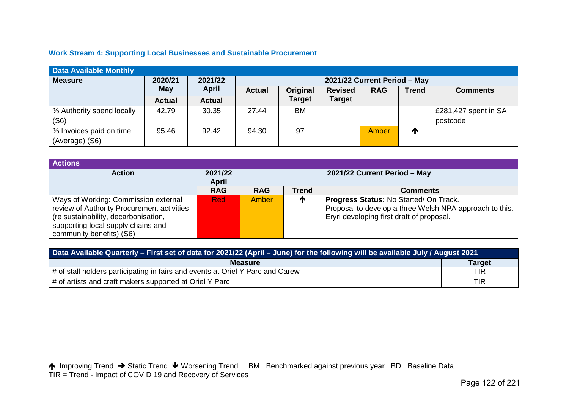# **Work Stream 4: Supporting Local Businesses and Sustainable Procurement**

| <b>Data Available Monthly</b> |               |               |                              |               |                |            |              |                      |  |
|-------------------------------|---------------|---------------|------------------------------|---------------|----------------|------------|--------------|----------------------|--|
| <b>Measure</b>                | 2020/21       | 2021/22       | 2021/22 Current Period - May |               |                |            |              |                      |  |
|                               | May           | <b>April</b>  | <b>Actual</b>                | Original      | <b>Revised</b> | <b>RAG</b> | <b>Trend</b> | <b>Comments</b>      |  |
|                               | <b>Actual</b> | <b>Actual</b> |                              | <b>Target</b> | <b>Target</b>  |            |              |                      |  |
| % Authority spend locally     | 42.79         | 30.35         | 27.44                        | BM.           |                |            |              | £281,427 spent in SA |  |
| (S6)                          |               |               |                              |               |                |            |              | postcode             |  |
| % Invoices paid on time       | 95.46         | 92.42         | 94.30                        | 97            |                | Amber      | T            |                      |  |
| (Average) (S6)                |               |               |                              |               |                |            |              |                      |  |

| <b>Actions</b>                             |              |                              |              |                                                         |  |  |  |
|--------------------------------------------|--------------|------------------------------|--------------|---------------------------------------------------------|--|--|--|
| <b>Action</b>                              | 2021/22      | 2021/22 Current Period - May |              |                                                         |  |  |  |
|                                            | <b>April</b> |                              |              |                                                         |  |  |  |
|                                            | <b>RAG</b>   | <b>RAG</b>                   | <b>Trend</b> | <b>Comments</b>                                         |  |  |  |
| Ways of Working: Commission external       | <b>Red</b>   | Amber                        | ₼            | Progress Status: No Started/On Track.                   |  |  |  |
| review of Authority Procurement activities |              |                              |              | Proposal to develop a three Welsh NPA approach to this. |  |  |  |
| (re sustainability, decarbonisation,       |              |                              |              | Eryri developing first draft of proposal.               |  |  |  |
| supporting local supply chains and         |              |                              |              |                                                         |  |  |  |
| community benefits) (S6)                   |              |                              |              |                                                         |  |  |  |

| Data Available Quarterly - First set of data for 2021/22 (April - June) for the following will be available July / August 2021 |               |  |  |  |
|--------------------------------------------------------------------------------------------------------------------------------|---------------|--|--|--|
| <b>Measure</b>                                                                                                                 | <b>Target</b> |  |  |  |
| $\mu$ of stall holders participating in fairs and events at Oriel Y Parc and Carew                                             | TIR           |  |  |  |
| # of artists and craft makers supported at Oriel Y Parc                                                                        | <b>TIR</b>    |  |  |  |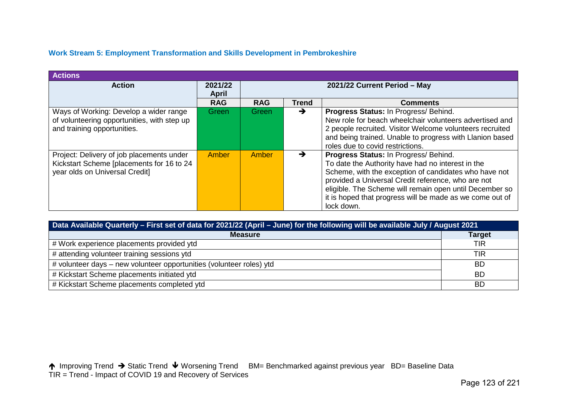# **Work Stream 5: Employment Transformation and Skills Development in Pembrokeshire**

| <b>Actions</b>                                                                                                           |                         |                              |               |                                                                                                                                                                                                                                                                                                                                                |  |
|--------------------------------------------------------------------------------------------------------------------------|-------------------------|------------------------------|---------------|------------------------------------------------------------------------------------------------------------------------------------------------------------------------------------------------------------------------------------------------------------------------------------------------------------------------------------------------|--|
| <b>Action</b>                                                                                                            | 2021/22<br><b>April</b> | 2021/22 Current Period - May |               |                                                                                                                                                                                                                                                                                                                                                |  |
|                                                                                                                          | <b>RAG</b>              | <b>RAG</b>                   | <b>Trend</b>  | <b>Comments</b>                                                                                                                                                                                                                                                                                                                                |  |
| Ways of Working: Develop a wider range<br>of volunteering opportunities, with step up<br>and training opportunities.     | Green                   | Green/                       | $\rightarrow$ | Progress Status: In Progress/ Behind.<br>New role for beach wheelchair volunteers advertised and<br>2 people recruited. Visitor Welcome volunteers recruited<br>and being trained. Unable to progress with Llanion based<br>roles due to covid restrictions.                                                                                   |  |
| Project: Delivery of job placements under<br>Kickstart Scheme [placements for 16 to 24<br>year olds on Universal Credit] | Amber                   | Amber                        | →             | Progress Status: In Progress/ Behind.<br>To date the Authority have had no interest in the<br>Scheme, with the exception of candidates who have not<br>provided a Universal Credit reference, who are not<br>eligible. The Scheme will remain open until December so<br>it is hoped that progress will be made as we come out of<br>lock down. |  |

| Data Available Quarterly - First set of data for 2021/22 (April - June) for the following will be available July / August 2021 |               |  |  |  |  |
|--------------------------------------------------------------------------------------------------------------------------------|---------------|--|--|--|--|
| <b>Measure</b>                                                                                                                 | <b>Target</b> |  |  |  |  |
| # Work experience placements provided ytd                                                                                      | <b>TIR</b>    |  |  |  |  |
| # attending volunteer training sessions ytd                                                                                    | <b>TIR</b>    |  |  |  |  |
| # volunteer days – new volunteer opportunities (volunteer roles) ytd                                                           | <b>BD</b>     |  |  |  |  |
| # Kickstart Scheme placements initiated ytd                                                                                    | <b>BD</b>     |  |  |  |  |
| # Kickstart Scheme placements completed ytd                                                                                    | <b>BD</b>     |  |  |  |  |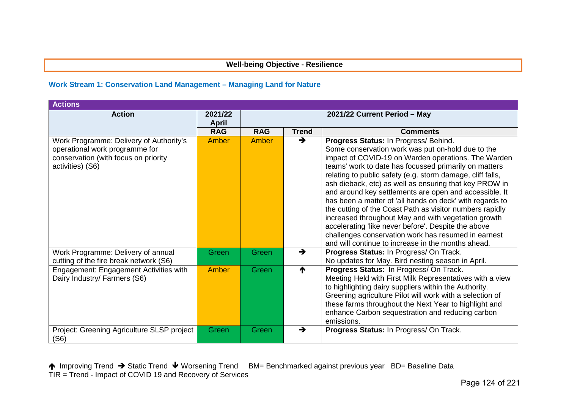# **Well-being Objective - Resilience**

#### **Work Stream 1: Conservation Land Management – Managing Land for Nature**

| <b>Actions</b>                                                                                                                        |                         |                              |               |                                                                                                                                                                                                                                                                                                                                                                                                                                                                                                                                                                                                                                                                                                                                                 |  |
|---------------------------------------------------------------------------------------------------------------------------------------|-------------------------|------------------------------|---------------|-------------------------------------------------------------------------------------------------------------------------------------------------------------------------------------------------------------------------------------------------------------------------------------------------------------------------------------------------------------------------------------------------------------------------------------------------------------------------------------------------------------------------------------------------------------------------------------------------------------------------------------------------------------------------------------------------------------------------------------------------|--|
| <b>Action</b>                                                                                                                         | 2021/22<br><b>April</b> | 2021/22 Current Period - May |               |                                                                                                                                                                                                                                                                                                                                                                                                                                                                                                                                                                                                                                                                                                                                                 |  |
|                                                                                                                                       | <b>RAG</b>              | <b>RAG</b>                   | <b>Trend</b>  | <b>Comments</b>                                                                                                                                                                                                                                                                                                                                                                                                                                                                                                                                                                                                                                                                                                                                 |  |
| Work Programme: Delivery of Authority's<br>operational work programme for<br>conservation (with focus on priority<br>activities) (S6) | Amber                   | Amber                        | →             | Progress Status: In Progress/ Behind.<br>Some conservation work was put on-hold due to the<br>impact of COVID-19 on Warden operations. The Warden<br>teams' work to date has focussed primarily on matters<br>relating to public safety (e.g. storm damage, cliff falls,<br>ash dieback, etc) as well as ensuring that key PROW in<br>and around key settlements are open and accessible. It<br>has been a matter of 'all hands on deck' with regards to<br>the cutting of the Coast Path as visitor numbers rapidly<br>increased throughout May and with vegetation growth<br>accelerating 'like never before'. Despite the above<br>challenges conservation work has resumed in earnest<br>and will continue to increase in the months ahead. |  |
| Work Programme: Delivery of annual<br>cutting of the fire break network (S6)                                                          | Green                   | Green                        | →             | <b>Progress Status: In Progress/ On Track.</b><br>No updates for May. Bird nesting season in April.                                                                                                                                                                                                                                                                                                                                                                                                                                                                                                                                                                                                                                             |  |
| Engagement: Engagement Activities with<br>Dairy Industry/ Farmers (S6)                                                                | Amber                   | Green                        | ₼             | Progress Status: In Progress/ On Track.<br>Meeting Held with First Milk Representatives with a view<br>to highlighting dairy suppliers within the Authority.<br>Greening agriculture Pilot will work with a selection of<br>these farms throughout the Next Year to highlight and<br>enhance Carbon sequestration and reducing carbon<br>emissions.                                                                                                                                                                                                                                                                                                                                                                                             |  |
| Project: Greening Agriculture SLSP project<br>(S6)                                                                                    | Green                   | Green                        | $\rightarrow$ | Progress Status: In Progress/ On Track.                                                                                                                                                                                                                                                                                                                                                                                                                                                                                                                                                                                                                                                                                                         |  |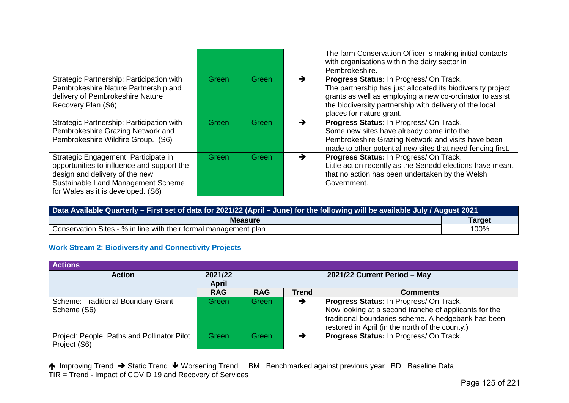|                                                                                                                                                                                                  |       |       |               | The farm Conservation Officer is making initial contacts<br>with organisations within the dairy sector in<br>Pembrokeshire.                                                                                                                               |
|--------------------------------------------------------------------------------------------------------------------------------------------------------------------------------------------------|-------|-------|---------------|-----------------------------------------------------------------------------------------------------------------------------------------------------------------------------------------------------------------------------------------------------------|
| Strategic Partnership: Participation with<br>Pembrokeshire Nature Partnership and<br>delivery of Pembrokeshire Nature<br>Recovery Plan (S6)                                                      | Green | Green | $\rightarrow$ | Progress Status: In Progress/ On Track.<br>The partnership has just allocated its biodiversity project<br>grants as well as employing a new co-ordinator to assist<br>the biodiversity partnership with delivery of the local<br>places for nature grant. |
| Strategic Partnership: Participation with<br>Pembrokeshire Grazing Network and<br>Pembrokeshire Wildfire Group. (S6)                                                                             | Green | Green | →             | Progress Status: In Progress/ On Track.<br>Some new sites have already come into the<br>Pembrokeshire Grazing Network and visits have been<br>made to other potential new sites that need fencing first.                                                  |
| Strategic Engagement: Participate in<br>opportunities to influence and support the<br>design and delivery of the new<br>Sustainable Land Management Scheme<br>for Wales as it is developed. (S6) | Green | Green | →             | Progress Status: In Progress/ On Track.<br>Little action recently as the Senedd elections have meant<br>that no action has been undertaken by the Welsh<br>Government.                                                                                    |

| Data Available Quarterly - First set of data for 2021/22 (April - June) for the following will be available July / August 2021 |               |  |  |  |
|--------------------------------------------------------------------------------------------------------------------------------|---------------|--|--|--|
| <b>Measure</b>                                                                                                                 | <b>Target</b> |  |  |  |
| Conservation Sites - % in line with their formal management plan                                                               | 100%          |  |  |  |

## **Work Stream 2: Biodiversity and Connectivity Projects**

| <b>Actions</b>                                              |                         |                              |              |                                                                                                                                                                                                            |  |
|-------------------------------------------------------------|-------------------------|------------------------------|--------------|------------------------------------------------------------------------------------------------------------------------------------------------------------------------------------------------------------|--|
| <b>Action</b>                                               | 2021/22<br><b>April</b> | 2021/22 Current Period - May |              |                                                                                                                                                                                                            |  |
|                                                             | <b>RAG</b>              | <b>RAG</b>                   | <b>Trend</b> | <b>Comments</b>                                                                                                                                                                                            |  |
| <b>Scheme: Traditional Boundary Grant</b><br>Scheme (S6)    | Green                   | Green                        | →            | Progress Status: In Progress/ On Track.<br>Now looking at a second tranche of applicants for the<br>traditional boundaries scheme. A hedgebank has been<br>restored in April (in the north of the county.) |  |
| Project: People, Paths and Pollinator Pilot<br>Project (S6) | Green                   | Green                        |              | Progress Status: In Progress/ On Track.                                                                                                                                                                    |  |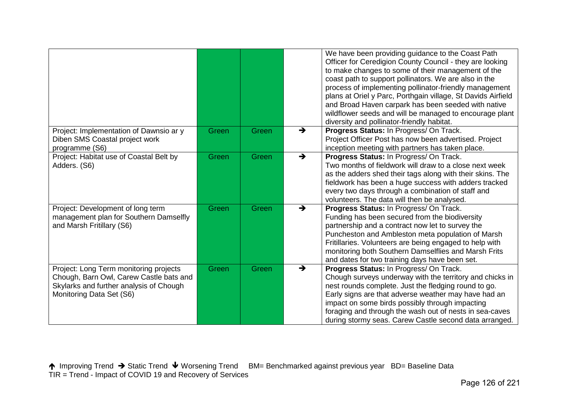|                                                                                                                                                          |       |       |               | We have been providing guidance to the Coast Path<br>Officer for Ceredigion County Council - they are looking<br>to make changes to some of their management of the<br>coast path to support pollinators. We are also in the<br>process of implementing pollinator-friendly management<br>plans at Oriel y Parc, Porthgain village, St Davids Airfield<br>and Broad Haven carpark has been seeded with native<br>wildflower seeds and will be managed to encourage plant<br>diversity and pollinator-friendly habitat. |
|----------------------------------------------------------------------------------------------------------------------------------------------------------|-------|-------|---------------|------------------------------------------------------------------------------------------------------------------------------------------------------------------------------------------------------------------------------------------------------------------------------------------------------------------------------------------------------------------------------------------------------------------------------------------------------------------------------------------------------------------------|
| Project: Implementation of Dawnsio ar y<br>Diben SMS Coastal project work<br>programme (S6)                                                              | Green | Green | →             | Progress Status: In Progress/ On Track.<br>Project Officer Post has now been advertised. Project<br>inception meeting with partners has taken place.                                                                                                                                                                                                                                                                                                                                                                   |
| Project: Habitat use of Coastal Belt by<br>Adders. (S6)                                                                                                  | Green | Green | $\rightarrow$ | Progress Status: In Progress/ On Track.<br>Two months of fieldwork will draw to a close next week<br>as the adders shed their tags along with their skins. The<br>fieldwork has been a huge success with adders tracked<br>every two days through a combination of staff and<br>volunteers. The data will then be analysed.                                                                                                                                                                                            |
| Project: Development of long term<br>management plan for Southern Damselfly<br>and Marsh Fritillary (S6)                                                 | Green | Green | →             | Progress Status: In Progress/ On Track.<br>Funding has been secured from the biodiversity<br>partnership and a contract now let to survey the<br>Puncheston and Ambleston meta population of Marsh<br>Fritillaries. Volunteers are being engaged to help with<br>monitoring both Southern Damselflies and Marsh Frits<br>and dates for two training days have been set.                                                                                                                                                |
| Project: Long Term monitoring projects<br>Chough, Barn Owl, Carew Castle bats and<br>Skylarks and further analysis of Chough<br>Monitoring Data Set (S6) | Green | Green | →             | Progress Status: In Progress/ On Track.<br>Chough surveys underway with the territory and chicks in<br>nest rounds complete. Just the fledging round to go.<br>Early signs are that adverse weather may have had an<br>impact on some birds possibly through impacting<br>foraging and through the wash out of nests in sea-caves<br>during stormy seas. Carew Castle second data arranged.                                                                                                                            |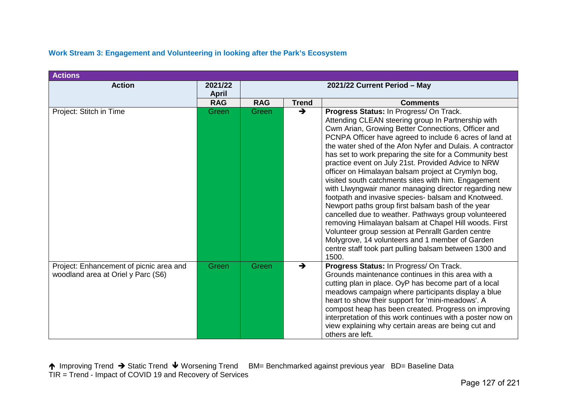| <b>Actions</b>                                                                |                         |                              |               |                                                                                                                                                                                                                                                                                                                                                                                                                                                                                                                                                                                                                                                                                                                                                                                                                                                                                                                                                                              |
|-------------------------------------------------------------------------------|-------------------------|------------------------------|---------------|------------------------------------------------------------------------------------------------------------------------------------------------------------------------------------------------------------------------------------------------------------------------------------------------------------------------------------------------------------------------------------------------------------------------------------------------------------------------------------------------------------------------------------------------------------------------------------------------------------------------------------------------------------------------------------------------------------------------------------------------------------------------------------------------------------------------------------------------------------------------------------------------------------------------------------------------------------------------------|
| <b>Action</b>                                                                 | 2021/22<br><b>April</b> | 2021/22 Current Period - May |               |                                                                                                                                                                                                                                                                                                                                                                                                                                                                                                                                                                                                                                                                                                                                                                                                                                                                                                                                                                              |
|                                                                               | <b>RAG</b>              | <b>RAG</b>                   | <b>Trend</b>  | <b>Comments</b>                                                                                                                                                                                                                                                                                                                                                                                                                                                                                                                                                                                                                                                                                                                                                                                                                                                                                                                                                              |
| Project: Stitch in Time                                                       | Green                   | Green                        | $\rightarrow$ | Progress Status: In Progress/ On Track.<br>Attending CLEAN steering group In Partnership with<br>Cwm Arian, Growing Better Connections, Officer and<br>PCNPA Officer have agreed to include 6 acres of land at<br>the water shed of the Afon Nyfer and Dulais. A contractor<br>has set to work preparing the site for a Community best<br>practice event on July 21st. Provided Advice to NRW<br>officer on Himalayan balsam project at Crymlyn bog,<br>visited south catchments sites with him. Engagement<br>with Llwyngwair manor managing director regarding new<br>footpath and invasive species- balsam and Knotweed.<br>Newport paths group first balsam bash of the year<br>cancelled due to weather. Pathways group volunteered<br>removing Himalayan balsam at Chapel Hill woods. First<br>Volunteer group session at Penrallt Garden centre<br>Molygrove, 14 volunteers and 1 member of Garden<br>centre staff took part pulling balsam between 1300 and<br>1500. |
| Project: Enhancement of picnic area and<br>woodland area at Oriel y Parc (S6) | Green                   | Green                        | $\rightarrow$ | Progress Status: In Progress/ On Track.<br>Grounds maintenance continues in this area with a<br>cutting plan in place. OyP has become part of a local<br>meadows campaign where participants display a blue<br>heart to show their support for 'mini-meadows'. A<br>compost heap has been created. Progress on improving<br>interpretation of this work continues with a poster now on<br>view explaining why certain areas are being cut and<br>others are left.                                                                                                                                                                                                                                                                                                                                                                                                                                                                                                            |

# **Work Stream 3: Engagement and Volunteering in looking after the Park's Ecosystem**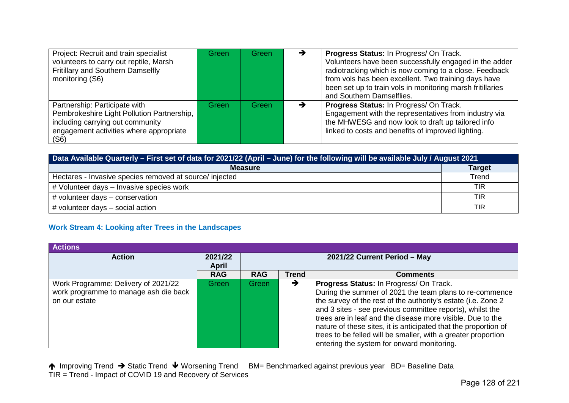| Project: Recruit and train specialist<br>volunteers to carry out reptile, Marsh<br>Fritillary and Southern Damselfly<br>monitoring (S6)                            | Green | Green | → | Progress Status: In Progress/ On Track.<br>Volunteers have been successfully engaged in the adder<br>radiotracking which is now coming to a close. Feedback<br>from vols has been excellent. Two training days have<br>been set up to train vols in monitoring marsh fritillaries<br>and Southern Damselflies. |
|--------------------------------------------------------------------------------------------------------------------------------------------------------------------|-------|-------|---|----------------------------------------------------------------------------------------------------------------------------------------------------------------------------------------------------------------------------------------------------------------------------------------------------------------|
| Partnership: Participate with<br>Pembrokeshire Light Pollution Partnership,<br>including carrying out community<br>engagement activities where appropriate<br>(S6) | Green | Green | → | Progress Status: In Progress/ On Track.<br>Engagement with the representatives from industry via<br>the MHWESG and now look to draft up tailored info<br>linked to costs and benefits of improved lighting.                                                                                                    |

| Data Available Quarterly - First set of data for 2021/22 (April - June) for the following will be available July / August 2021 |               |  |  |  |
|--------------------------------------------------------------------------------------------------------------------------------|---------------|--|--|--|
| <b>Measure</b>                                                                                                                 | <b>Target</b> |  |  |  |
| Hectares - Invasive species removed at source/ injected                                                                        | Trend         |  |  |  |
| # Volunteer days - Invasive species work                                                                                       | <b>TIR</b>    |  |  |  |
| # volunteer days - conservation                                                                                                | <b>TIR</b>    |  |  |  |
| # volunteer days - social action                                                                                               | TIR           |  |  |  |

#### **Work Stream 4: Looking after Trees in the Landscapes**

| <b>Actions</b>                                                                                |                         |                              |              |                                                                                                                                                                                                                                                                                                                                                                                                                                                                                  |
|-----------------------------------------------------------------------------------------------|-------------------------|------------------------------|--------------|----------------------------------------------------------------------------------------------------------------------------------------------------------------------------------------------------------------------------------------------------------------------------------------------------------------------------------------------------------------------------------------------------------------------------------------------------------------------------------|
| <b>Action</b>                                                                                 | 2021/22<br><b>April</b> | 2021/22 Current Period - May |              |                                                                                                                                                                                                                                                                                                                                                                                                                                                                                  |
|                                                                                               | <b>RAG</b>              | <b>RAG</b>                   | <b>Trend</b> | <b>Comments</b>                                                                                                                                                                                                                                                                                                                                                                                                                                                                  |
| Work Programme: Delivery of 2021/22<br>work programme to manage ash die back<br>on our estate | Green                   | Green                        | →            | Progress Status: In Progress/ On Track.<br>During the summer of 2021 the team plans to re-commence<br>the survey of the rest of the authority's estate (i.e. Zone 2<br>and 3 sites - see previous committee reports), whilst the<br>trees are in leaf and the disease more visible. Due to the<br>nature of these sites, it is anticipated that the proportion of<br>trees to be felled will be smaller, with a greater proportion<br>entering the system for onward monitoring. |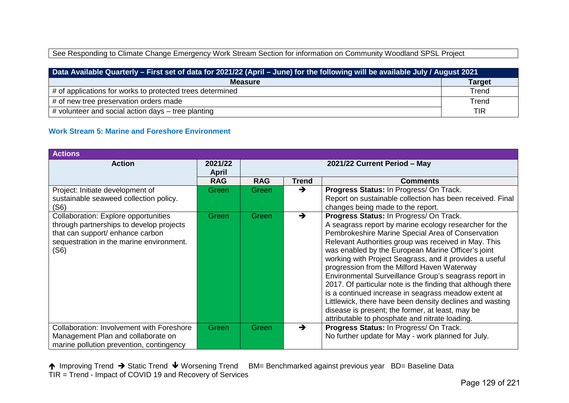# See Responding to Climate Change Emergency Work Stream Section for information on Community Woodland SPSL Project

| Data Available Quarterly – First set of data for 2021/22 (April – June) for the following will be available July / August 2021 |               |  |  |  |
|--------------------------------------------------------------------------------------------------------------------------------|---------------|--|--|--|
| <b>Measure</b>                                                                                                                 | <b>Target</b> |  |  |  |
| # of applications for works to protected trees determined                                                                      | Trend         |  |  |  |
| # of new tree preservation orders made                                                                                         | Trend         |  |  |  |
| # volunteer and social action days – tree planting                                                                             | <b>TIR</b>    |  |  |  |

# **Work Stream 5: Marine and Foreshore Environment**

| <b>Actions</b>                                                                                                                                                           |                         |            |                              |                                                                                                                                                                                                                                                                                                                                                                                                                                                                                                                                                                                                                                                                                                                                  |  |
|--------------------------------------------------------------------------------------------------------------------------------------------------------------------------|-------------------------|------------|------------------------------|----------------------------------------------------------------------------------------------------------------------------------------------------------------------------------------------------------------------------------------------------------------------------------------------------------------------------------------------------------------------------------------------------------------------------------------------------------------------------------------------------------------------------------------------------------------------------------------------------------------------------------------------------------------------------------------------------------------------------------|--|
| <b>Action</b>                                                                                                                                                            | 2021/22<br><b>April</b> |            | 2021/22 Current Period - May |                                                                                                                                                                                                                                                                                                                                                                                                                                                                                                                                                                                                                                                                                                                                  |  |
|                                                                                                                                                                          | <b>RAG</b>              | <b>RAG</b> | <b>Trend</b>                 | <b>Comments</b>                                                                                                                                                                                                                                                                                                                                                                                                                                                                                                                                                                                                                                                                                                                  |  |
| Project: Initiate development of<br>sustainable seaweed collection policy.<br>(S6)                                                                                       | Green                   | Green      | →                            | Progress Status: In Progress/ On Track.<br>Report on sustainable collection has been received. Final<br>changes being made to the report.                                                                                                                                                                                                                                                                                                                                                                                                                                                                                                                                                                                        |  |
| Collaboration: Explore opportunities<br>through partnerships to develop projects<br>that can support/ enhance carbon<br>sequestration in the marine environment.<br>(S6) | Green                   | Green      | →                            | Progress Status: In Progress/ On Track.<br>A seagrass report by marine ecology researcher for the<br>Pembrokeshire Marine Special Area of Conservation<br>Relevant Authorities group was received in May. This<br>was enabled by the European Marine Officer's joint<br>working with Project Seagrass, and it provides a useful<br>progression from the Milford Haven Waterway<br>Environmental Surveillance Group's seagrass report in<br>2017. Of particular note is the finding that although there<br>is a continued increase in seagrass meadow extent at<br>Littlewick, there have been density declines and wasting<br>disease is present; the former, at least, may be<br>attributable to phosphate and nitrate loading. |  |
| <b>Collaboration: Involvement with Foreshore</b><br>Management Plan and collaborate on<br>marine pollution prevention, contingency                                       | Green                   | Green      | →                            | Progress Status: In Progress/ On Track.<br>No further update for May - work planned for July.                                                                                                                                                                                                                                                                                                                                                                                                                                                                                                                                                                                                                                    |  |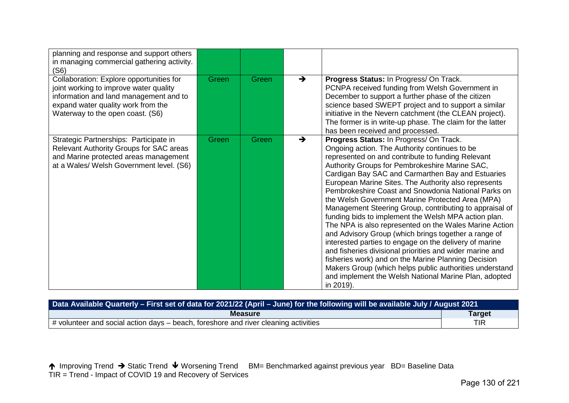| planning and response and support others<br>in managing commercial gathering activity.<br>(S6)                                                                                                         |       |       |               |                                                                                                                                                                                                                                                                                                                                                                                                                                                                                                                                                                                                                                                                                                                                                                                                                                                                                                                                                                            |
|--------------------------------------------------------------------------------------------------------------------------------------------------------------------------------------------------------|-------|-------|---------------|----------------------------------------------------------------------------------------------------------------------------------------------------------------------------------------------------------------------------------------------------------------------------------------------------------------------------------------------------------------------------------------------------------------------------------------------------------------------------------------------------------------------------------------------------------------------------------------------------------------------------------------------------------------------------------------------------------------------------------------------------------------------------------------------------------------------------------------------------------------------------------------------------------------------------------------------------------------------------|
| Collaboration: Explore opportunities for<br>joint working to improve water quality<br>information and land management and to<br>expand water quality work from the<br>Waterway to the open coast. (S6) | Green | Green | $\rightarrow$ | Progress Status: In Progress/ On Track.<br>PCNPA received funding from Welsh Government in<br>December to support a further phase of the citizen<br>science based SWEPT project and to support a similar<br>initiative in the Nevern catchment (the CLEAN project).<br>The former is in write-up phase. The claim for the latter<br>has been received and processed.                                                                                                                                                                                                                                                                                                                                                                                                                                                                                                                                                                                                       |
| Strategic Partnerships: Participate in<br>Relevant Authority Groups for SAC areas<br>and Marine protected areas management<br>at a Wales/ Welsh Government level. (S6)                                 | Green | Green | →             | Progress Status: In Progress/ On Track.<br>Ongoing action. The Authority continues to be<br>represented on and contribute to funding Relevant<br>Authority Groups for Pembrokeshire Marine SAC,<br>Cardigan Bay SAC and Carmarthen Bay and Estuaries<br>European Marine Sites. The Authority also represents<br>Pembrokeshire Coast and Snowdonia National Parks on<br>the Welsh Government Marine Protected Area (MPA)<br>Management Steering Group, contributing to appraisal of<br>funding bids to implement the Welsh MPA action plan.<br>The NPA is also represented on the Wales Marine Action<br>and Advisory Group (which brings together a range of<br>interested parties to engage on the delivery of marine<br>and fisheries divisional priorities and wider marine and<br>fisheries work) and on the Marine Planning Decision<br>Makers Group (which helps public authorities understand<br>and implement the Welsh National Marine Plan, adopted<br>in 2019). |

| Data Available Quarterly - First set of data for 2021/22 (April - June) for the following will be available July / August 2021 |               |  |  |  |
|--------------------------------------------------------------------------------------------------------------------------------|---------------|--|--|--|
| <b>Measure</b>                                                                                                                 | <b>Target</b> |  |  |  |
| $\mu$ volunteer and social action days – beach, foreshore and river cleaning activities                                        | TIR           |  |  |  |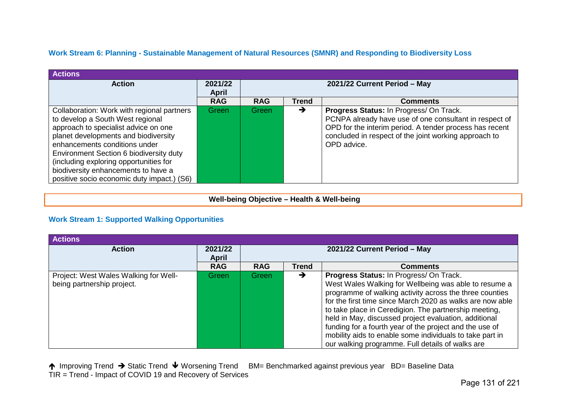# **Work Stream 6: Planning - Sustainable Management of Natural Resources (SMNR) and Responding to Biodiversity Loss**

| <b>Actions</b>                                                                                                                                                                                                                                                                                                                                                            |                         |                              |               |                                                                                                                                                                                                                                      |
|---------------------------------------------------------------------------------------------------------------------------------------------------------------------------------------------------------------------------------------------------------------------------------------------------------------------------------------------------------------------------|-------------------------|------------------------------|---------------|--------------------------------------------------------------------------------------------------------------------------------------------------------------------------------------------------------------------------------------|
| <b>Action</b>                                                                                                                                                                                                                                                                                                                                                             | 2021/22<br><b>April</b> | 2021/22 Current Period - May |               |                                                                                                                                                                                                                                      |
|                                                                                                                                                                                                                                                                                                                                                                           | <b>RAG</b>              | <b>RAG</b>                   | <b>Trend</b>  | <b>Comments</b>                                                                                                                                                                                                                      |
| Collaboration: Work with regional partners<br>to develop a South West regional<br>approach to specialist advice on one<br>planet developments and biodiversity<br>enhancements conditions under<br>Environment Section 6 biodiversity duty<br>(including exploring opportunities for<br>biodiversity enhancements to have a<br>positive socio economic duty impact.) (S6) | Green                   | Green                        | $\rightarrow$ | Progress Status: In Progress/ On Track.<br>PCNPA already have use of one consultant in respect of<br>OPD for the interim period. A tender process has recent<br>concluded in respect of the joint working approach to<br>OPD advice. |

## **Well-being Objective – Health & Well-being**

# **Work Stream 1: Supported Walking Opportunities**

| <b>Actions</b>                                                      |                         |                              |       |                                                                                                                                                                                                                                                                                                                                                                                                                                                                                                                       |
|---------------------------------------------------------------------|-------------------------|------------------------------|-------|-----------------------------------------------------------------------------------------------------------------------------------------------------------------------------------------------------------------------------------------------------------------------------------------------------------------------------------------------------------------------------------------------------------------------------------------------------------------------------------------------------------------------|
| <b>Action</b>                                                       | 2021/22<br><b>April</b> | 2021/22 Current Period - May |       |                                                                                                                                                                                                                                                                                                                                                                                                                                                                                                                       |
|                                                                     | <b>RAG</b>              | <b>RAG</b>                   | Trend | <b>Comments</b>                                                                                                                                                                                                                                                                                                                                                                                                                                                                                                       |
| Project: West Wales Walking for Well-<br>being partnership project. | Green                   | Green                        | →     | Progress Status: In Progress/ On Track.<br>West Wales Walking for Wellbeing was able to resume a<br>programme of walking activity across the three counties<br>for the first time since March 2020 as walks are now able<br>to take place in Ceredigion. The partnership meeting,<br>held in May, discussed project evaluation, additional<br>funding for a fourth year of the project and the use of<br>mobility aids to enable some individuals to take part in<br>our walking programme. Full details of walks are |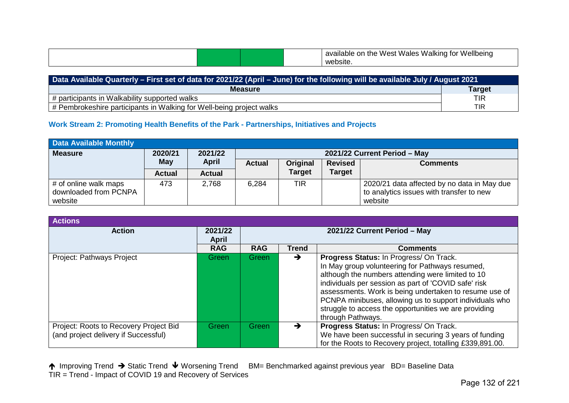|  |  |  |  | <b>Vellbeinc</b><br>Wales<br>Walking<br>West<br>Ωr<br>τn.<br>. то•<br>anie s<br>AV.<br>. .<br>site |
|--|--|--|--|----------------------------------------------------------------------------------------------------|
|--|--|--|--|----------------------------------------------------------------------------------------------------|

| Data Available Quarterly – First set of data for 2021/22 (April – June) for the following will be available July / August 2021 |               |  |  |  |  |
|--------------------------------------------------------------------------------------------------------------------------------|---------------|--|--|--|--|
| <b>Measure</b>                                                                                                                 | <b>Target</b> |  |  |  |  |
| # participants in Walkability supported walks                                                                                  | TIR           |  |  |  |  |
| # Pembrokeshire participants in Walking for Well-being project walks                                                           | <b>TIR</b>    |  |  |  |  |

# **Work Stream 2: Promoting Health Benefits of the Park - Partnerships, Initiatives and Projects**

| <b>Data Available Monthly</b>                  |               |                                         |                                                                |               |               |                                                                                         |  |  |
|------------------------------------------------|---------------|-----------------------------------------|----------------------------------------------------------------|---------------|---------------|-----------------------------------------------------------------------------------------|--|--|
| <b>Measure</b>                                 | 2020/21       | 2021/22<br>2021/22 Current Period - May |                                                                |               |               |                                                                                         |  |  |
|                                                | May           | <b>April</b>                            | <b>Revised</b><br>Original<br><b>Actual</b><br><b>Comments</b> |               |               |                                                                                         |  |  |
|                                                | <b>Actual</b> | <b>Actual</b>                           |                                                                | <b>Target</b> | <b>Target</b> |                                                                                         |  |  |
| # of online walk maps<br>downloaded from PCNPA | 473           | 2,768                                   | 6.284                                                          | <b>TIR</b>    |               | 2020/21 data affected by no data in May due<br>to analytics issues with transfer to new |  |  |
| website                                        |               |                                         |                                                                |               |               | website                                                                                 |  |  |

| <b>Actions</b>                                                                 |                         |                              |               |                                                                                                                                                                                                                                                                                                                                                                                                            |  |  |
|--------------------------------------------------------------------------------|-------------------------|------------------------------|---------------|------------------------------------------------------------------------------------------------------------------------------------------------------------------------------------------------------------------------------------------------------------------------------------------------------------------------------------------------------------------------------------------------------------|--|--|
| <b>Action</b>                                                                  | 2021/22<br><b>April</b> | 2021/22 Current Period - May |               |                                                                                                                                                                                                                                                                                                                                                                                                            |  |  |
|                                                                                | <b>RAG</b>              | <b>RAG</b>                   | Trend         | <b>Comments</b>                                                                                                                                                                                                                                                                                                                                                                                            |  |  |
| Project: Pathways Project                                                      | Green                   | <b>Green</b>                 | $\rightarrow$ | Progress Status: In Progress/ On Track.<br>In May group volunteering for Pathways resumed,<br>although the numbers attending were limited to 10<br>individuals per session as part of 'COVID safe' risk<br>assessments. Work is being undertaken to resume use of<br>PCNPA minibuses, allowing us to support individuals who<br>struggle to access the opportunities we are providing<br>through Pathways. |  |  |
| Project: Roots to Recovery Project Bid<br>(and project delivery if Successful) | Green                   | <b>Green</b>                 | →             | Progress Status: In Progress/ On Track.<br>We have been successful in securing 3 years of funding<br>for the Roots to Recovery project, totalling £339,891.00.                                                                                                                                                                                                                                             |  |  |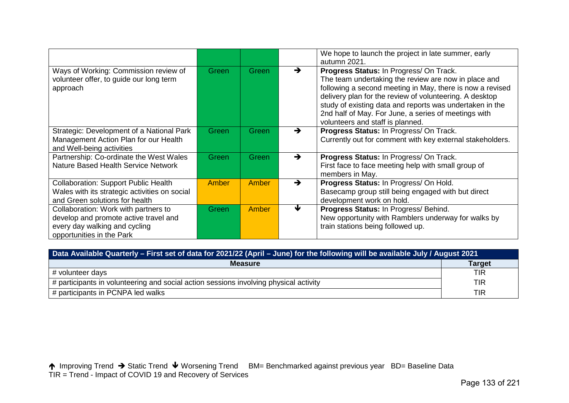|                                                                                                                                             |       |       |               | We hope to launch the project in late summer, early<br>autumn 2021.                                                                                                                                                                                                                                                                                                             |
|---------------------------------------------------------------------------------------------------------------------------------------------|-------|-------|---------------|---------------------------------------------------------------------------------------------------------------------------------------------------------------------------------------------------------------------------------------------------------------------------------------------------------------------------------------------------------------------------------|
| Ways of Working: Commission review of<br>volunteer offer, to guide our long term<br>approach                                                | Green | Green | $\rightarrow$ | Progress Status: In Progress/ On Track.<br>The team undertaking the review are now in place and<br>following a second meeting in May, there is now a revised<br>delivery plan for the review of volunteering. A desktop<br>study of existing data and reports was undertaken in the<br>2nd half of May. For June, a series of meetings with<br>volunteers and staff is planned. |
| Strategic: Development of a National Park<br>Management Action Plan for our Health<br>and Well-being activities                             | Green | Green | $\rightarrow$ | Progress Status: In Progress/ On Track.<br>Currently out for comment with key external stakeholders.                                                                                                                                                                                                                                                                            |
| Partnership: Co-ordinate the West Wales<br><b>Nature Based Health Service Network</b>                                                       | Green | Green | $\rightarrow$ | Progress Status: In Progress/ On Track.<br>First face to face meeting help with small group of<br>members in May.                                                                                                                                                                                                                                                               |
| <b>Collaboration: Support Public Health</b><br>Wales with its strategic activities on social<br>and Green solutions for health              | Amber | Amber | $\rightarrow$ | Progress Status: In Progress/ On Hold.<br>Basecamp group still being engaged with but direct<br>development work on hold.                                                                                                                                                                                                                                                       |
| Collaboration: Work with partners to<br>develop and promote active travel and<br>every day walking and cycling<br>opportunities in the Park | Green | Amber | ₩             | Progress Status: In Progress/ Behind.<br>New opportunity with Ramblers underway for walks by<br>train stations being followed up.                                                                                                                                                                                                                                               |

| Data Available Quarterly - First set of data for 2021/22 (April - June) for the following will be available July / August 2021 |               |  |  |  |  |
|--------------------------------------------------------------------------------------------------------------------------------|---------------|--|--|--|--|
| <b>Measure</b>                                                                                                                 | <b>Target</b> |  |  |  |  |
| # volunteer days                                                                                                               | <b>TIR</b>    |  |  |  |  |
| # participants in volunteering and social action sessions involving physical activity                                          | <b>TIR</b>    |  |  |  |  |
| # participants in PCNPA led walks                                                                                              | <b>TIR</b>    |  |  |  |  |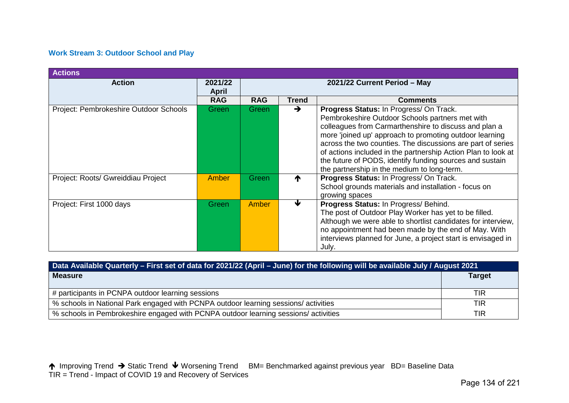# **Work Stream 3: Outdoor School and Play**

| <b>Actions</b>                         |                         |                              |               |                                                                                                                                                                                                                                                                                                                                                                                                                                                           |  |
|----------------------------------------|-------------------------|------------------------------|---------------|-----------------------------------------------------------------------------------------------------------------------------------------------------------------------------------------------------------------------------------------------------------------------------------------------------------------------------------------------------------------------------------------------------------------------------------------------------------|--|
| <b>Action</b>                          | 2021/22<br><b>April</b> | 2021/22 Current Period - May |               |                                                                                                                                                                                                                                                                                                                                                                                                                                                           |  |
|                                        | <b>RAG</b>              | <b>RAG</b>                   | Trend         | <b>Comments</b>                                                                                                                                                                                                                                                                                                                                                                                                                                           |  |
| Project: Pembrokeshire Outdoor Schools | Green                   | Green                        | $\rightarrow$ | Progress Status: In Progress/ On Track.<br>Pembrokeshire Outdoor Schools partners met with<br>colleagues from Carmarthenshire to discuss and plan a<br>more 'joined up' approach to promoting outdoor learning<br>across the two counties. The discussions are part of series<br>of actions included in the partnership Action Plan to look at<br>the future of PODS, identify funding sources and sustain<br>the partnership in the medium to long-term. |  |
| Project: Roots/ Gwreiddiau Project     | Amber                   | Green                        |               | Progress Status: In Progress/ On Track.<br>School grounds materials and installation - focus on<br>growing spaces                                                                                                                                                                                                                                                                                                                                         |  |
| Project: First 1000 days               | Green                   | Amber                        | ₩             | Progress Status: In Progress/ Behind.<br>The post of Outdoor Play Worker has yet to be filled.<br>Although we were able to shortlist candidates for interview,<br>no appointment had been made by the end of May. With<br>interviews planned for June, a project start is envisaged in<br>July.                                                                                                                                                           |  |

| Data Available Quarterly – First set of data for 2021/22 (April – June) for the following will be available July / August 2021 |               |  |  |  |  |
|--------------------------------------------------------------------------------------------------------------------------------|---------------|--|--|--|--|
| <b>Measure</b>                                                                                                                 | <b>Target</b> |  |  |  |  |
| # participants in PCNPA outdoor learning sessions                                                                              | <b>TIR</b>    |  |  |  |  |
| % schools in National Park engaged with PCNPA outdoor learning sessions/activities                                             | TIR           |  |  |  |  |
| % schools in Pembrokeshire engaged with PCNPA outdoor learning sessions/ activities                                            | TIR           |  |  |  |  |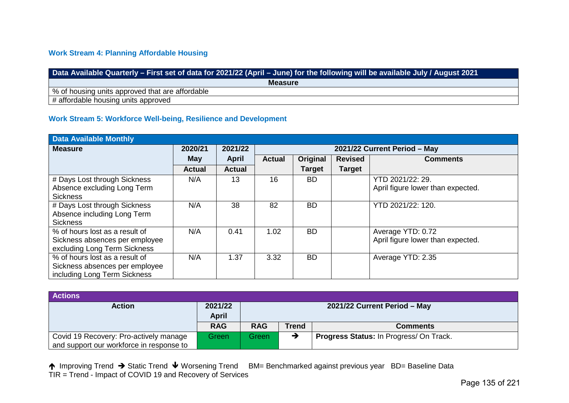# **Work Stream 4: Planning Affordable Housing**

| Data Available Quarterly – First set of data for 2021/22 (April – June) for the following will be available July / August 2021, |
|---------------------------------------------------------------------------------------------------------------------------------|
| <b>Measure</b>                                                                                                                  |
| % of housing units approved that are affordable                                                                                 |
| # affordable housing units approved                                                                                             |

# **Work Stream 5: Workforce Well-being, Resilience and Development**

| <b>Data Available Monthly</b>  |               |               |               |                              |                |                                   |  |  |  |
|--------------------------------|---------------|---------------|---------------|------------------------------|----------------|-----------------------------------|--|--|--|
| <b>Measure</b>                 | 2020/21       | 2021/22       |               | 2021/22 Current Period - May |                |                                   |  |  |  |
|                                | <b>May</b>    | <b>April</b>  | <b>Actual</b> | Original                     | <b>Revised</b> | <b>Comments</b>                   |  |  |  |
|                                | <b>Actual</b> | <b>Actual</b> |               | <b>Target</b>                | <b>Target</b>  |                                   |  |  |  |
| # Days Lost through Sickness   | N/A           | 13            | 16            | <b>BD</b>                    |                | YTD 2021/22: 29.                  |  |  |  |
| Absence excluding Long Term    |               |               |               |                              |                | April figure lower than expected. |  |  |  |
| <b>Sickness</b>                |               |               |               |                              |                |                                   |  |  |  |
| # Days Lost through Sickness   | N/A           | 38            | 82            | <b>BD</b>                    |                | YTD 2021/22: 120.                 |  |  |  |
| Absence including Long Term    |               |               |               |                              |                |                                   |  |  |  |
| <b>Sickness</b>                |               |               |               |                              |                |                                   |  |  |  |
| % of hours lost as a result of | N/A           | 0.41          | 1.02          | <b>BD</b>                    |                | Average YTD: 0.72                 |  |  |  |
| Sickness absences per employee |               |               |               |                              |                | April figure lower than expected. |  |  |  |
| excluding Long Term Sickness   |               |               |               |                              |                |                                   |  |  |  |
| % of hours lost as a result of | N/A           | 1.37          | 3.32          | <b>BD</b>                    |                | Average YTD: 2.35                 |  |  |  |
| Sickness absences per employee |               |               |               |                              |                |                                   |  |  |  |
| including Long Term Sickness   |               |               |               |                              |                |                                   |  |  |  |

| <b>Actions</b>                           |              |                              |              |                                         |  |  |
|------------------------------------------|--------------|------------------------------|--------------|-----------------------------------------|--|--|
| <b>Action</b>                            | 2021/22      | 2021/22 Current Period - May |              |                                         |  |  |
|                                          | <b>April</b> |                              |              |                                         |  |  |
|                                          | <b>RAG</b>   | <b>RAG</b>                   | <b>Trend</b> | <b>Comments</b>                         |  |  |
| Covid 19 Recovery: Pro-actively manage   | Green        | Green                        |              | Progress Status: In Progress/ On Track. |  |  |
| and support our workforce in response to |              |                              |              |                                         |  |  |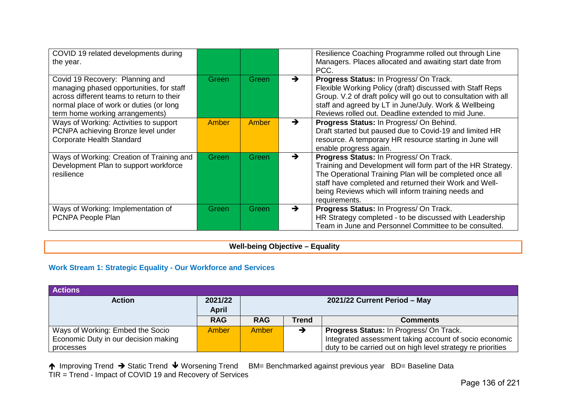| COVID 19 related developments during<br>the year.                                                                                                                                                      |       |       |               | Resilience Coaching Programme rolled out through Line<br>Managers. Places allocated and awaiting start date from<br>PCC.                                                                                                                                                                            |
|--------------------------------------------------------------------------------------------------------------------------------------------------------------------------------------------------------|-------|-------|---------------|-----------------------------------------------------------------------------------------------------------------------------------------------------------------------------------------------------------------------------------------------------------------------------------------------------|
| Covid 19 Recovery: Planning and<br>managing phased opportunities, for staff<br>across different teams to return to their<br>normal place of work or duties (or long<br>term home working arrangements) | Green | Green | $\rightarrow$ | Progress Status: In Progress/ On Track.<br>Flexible Working Policy (draft) discussed with Staff Reps<br>Group. V.2 of draft policy will go out to consultation with all<br>staff and agreed by LT in June/July. Work & Wellbeing<br>Reviews rolled out. Deadline extended to mid June.              |
| Ways of Working: Activities to support<br>PCNPA achieving Bronze level under<br>Corporate Health Standard                                                                                              | Amber | Amber | $\rightarrow$ | Progress Status: In Progress/ On Behind.<br>Draft started but paused due to Covid-19 and limited HR<br>resource. A temporary HR resource starting in June will<br>enable progress again.                                                                                                            |
| Ways of Working: Creation of Training and<br>Development Plan to support workforce<br>resilience                                                                                                       | Green | Green | →             | Progress Status: In Progress/ On Track.<br>Training and Development will form part of the HR Strategy.<br>The Operational Training Plan will be completed once all<br>staff have completed and returned their Work and Well-<br>being Reviews which will inform training needs and<br>requirements. |
| Ways of Working: Implementation of<br>PCNPA People Plan                                                                                                                                                | Green | Green | $\rightarrow$ | Progress Status: In Progress/ On Track.<br>HR Strategy completed - to be discussed with Leadership<br>Team in June and Personnel Committee to be consulted.                                                                                                                                         |

**Well-being Objective – Equality**

# **Work Stream 1: Strategic Equality - Our Workforce and Services**

| <b>Actions</b>                       |              |            |              |                                                             |
|--------------------------------------|--------------|------------|--------------|-------------------------------------------------------------|
| <b>Action</b>                        | 2021/22      |            |              | 2021/22 Current Period - May                                |
|                                      | <b>April</b> |            |              |                                                             |
|                                      | <b>RAG</b>   | <b>RAG</b> | <b>Trend</b> | <b>Comments</b>                                             |
| Ways of Working: Embed the Socio     | <b>Amber</b> | Amber      |              | Progress Status: In Progress/ On Track.                     |
| Economic Duty in our decision making |              |            |              | Integrated assessment taking account of socio economic      |
| processes                            |              |            |              | duty to be carried out on high level strategy re priorities |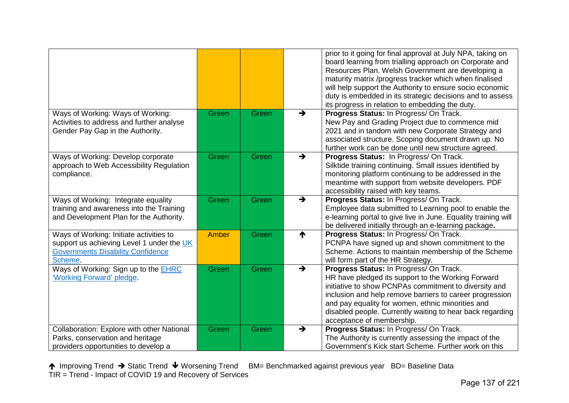|                                                                                                                                             |       |       |               | prior to it going for final approval at July NPA, taking on<br>board learning from trialling approach on Corporate and<br>Resources Plan. Welsh Government are developing a<br>maturity matrix /progress tracker which when finalised<br>will help support the Authority to ensure socio economic<br>duty is embedded in its strategic decisions and to assess<br>its progress in relation to embedding the duty. |
|---------------------------------------------------------------------------------------------------------------------------------------------|-------|-------|---------------|-------------------------------------------------------------------------------------------------------------------------------------------------------------------------------------------------------------------------------------------------------------------------------------------------------------------------------------------------------------------------------------------------------------------|
| Ways of Working: Ways of Working:<br>Activities to address and further analyse<br>Gender Pay Gap in the Authority.                          | Green | Green | $\rightarrow$ | Progress Status: In Progress/On Track.<br>New Pay and Grading Project due to commence mid<br>2021 and in tandom with new Corporate Strategy and<br>associated structure. Scoping document drawn up. No<br>further work can be done until new structure agreed.                                                                                                                                                    |
| Ways of Working: Develop corporate<br>approach to Web Accessibility Regulation<br>compliance.                                               | Green | Green | $\rightarrow$ | Progress Status: In Progress/On Track.<br>Silktide training continuing. Small issues identified by<br>monitoring platform continuing to be addressed in the<br>meantime with support from website developers. PDF<br>accessibility raised with key teams.                                                                                                                                                         |
| Ways of Working: Integrate equality<br>training and awareness into the Training<br>and Development Plan for the Authority.                  | Green | Green | $\rightarrow$ | Progress Status: In Progress/ On Track.<br>Employee data submitted to Learning pool to enable the<br>e-learning portal to give live in June. Equality training will<br>be delivered initially through an e-learning package.                                                                                                                                                                                      |
| Ways of Working: Initiate activities to<br>support us achieving Level 1 under the UK<br><b>Governments Disability Confidence</b><br>Scheme. | Amber | Green | ↑             | Progress Status: In Progress/ On Track.<br>PCNPA have signed up and shown commitment to the<br>Scheme. Actions to maintain membership of the Scheme<br>will form part of the HR Strategy.                                                                                                                                                                                                                         |
| Ways of Working: Sign up to the <b>EHRC</b><br>'Working Forward' pledge.                                                                    | Green | Green | $\rightarrow$ | Progress Status: In Progress/ On Track.<br>HR have pledged its support to the Working Forward<br>initiative to show PCNPAs commitment to diversity and<br>inclusion and help remove barriers to career progression<br>and pay equality for women, ethnic minorities and<br>disabled people. Currently waiting to hear back regarding<br>acceptance of membership.                                                 |
| Collaboration: Explore with other National<br>Parks, conservation and heritage<br>providers opportunities to develop a                      | Green | Green | $\rightarrow$ | Progress Status: In Progress/On Track.<br>The Authority is currently assessing the impact of the<br>Government's Kick start Scheme, Further work on this                                                                                                                                                                                                                                                          |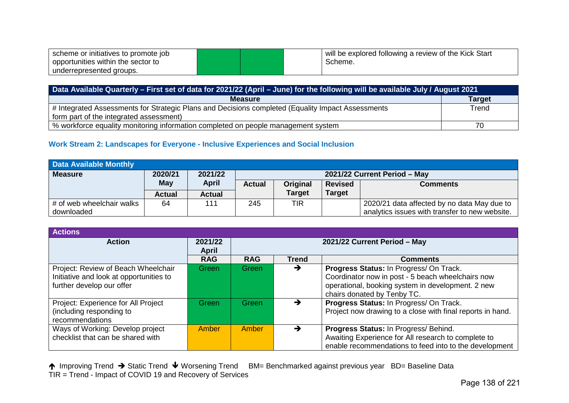| scheme or initiatives to promote job |  | will be explored following a review of the Kick Start |
|--------------------------------------|--|-------------------------------------------------------|
| opportunities within the sector to   |  | Scheme.                                               |
| underrepresented groups.             |  |                                                       |

| Data Available Quarterly - First set of data for 2021/22 (April - June) for the following will be available July / August 2021 |               |  |  |  |  |
|--------------------------------------------------------------------------------------------------------------------------------|---------------|--|--|--|--|
| <b>Measure</b>                                                                                                                 | <b>Target</b> |  |  |  |  |
| # Integrated Assessments for Strategic Plans and Decisions completed (Equality Impact Assessments                              | Trend         |  |  |  |  |
| form part of the integrated assessment)                                                                                        |               |  |  |  |  |
| % workforce equality monitoring information completed on people management system                                              |               |  |  |  |  |

# **Work Stream 2: Landscapes for Everyone - Inclusive Experiences and Social Inclusion**

| Data Available Monthly    |               |               |                              |               |                |                                                |  |  |
|---------------------------|---------------|---------------|------------------------------|---------------|----------------|------------------------------------------------|--|--|
| <b>Measure</b>            | 2020/21       | 2021/22       | 2021/22 Current Period - May |               |                |                                                |  |  |
|                           | May           | <b>April</b>  | <b>Actual</b>                | Original      | <b>Revised</b> | <b>Comments</b>                                |  |  |
|                           | <b>Actual</b> | <b>Actual</b> |                              | <b>Target</b> | <b>Target</b>  |                                                |  |  |
| # of web wheelchair walks | 64            | 111           | 245                          | TIR           |                | 2020/21 data affected by no data May due to    |  |  |
| downloaded                |               |               |                              |               |                | analytics issues with transfer to new website. |  |  |

| <b>Actions</b>                                                                                              |                         |            |              |                                                                                                                                                                                  |  |  |  |
|-------------------------------------------------------------------------------------------------------------|-------------------------|------------|--------------|----------------------------------------------------------------------------------------------------------------------------------------------------------------------------------|--|--|--|
| <b>Action</b>                                                                                               | 2021/22<br><b>April</b> |            |              | 2021/22 Current Period - May                                                                                                                                                     |  |  |  |
|                                                                                                             | <b>RAG</b>              | <b>RAG</b> | <b>Trend</b> | <b>Comments</b>                                                                                                                                                                  |  |  |  |
| Project: Review of Beach Wheelchair<br>Initiative and look at opportunities to<br>further develop our offer | Green                   | Green      | →            | Progress Status: In Progress/ On Track.<br>Coordinator now in post - 5 beach wheelchairs now<br>operational, booking system in development. 2 new<br>chairs donated by Tenby TC. |  |  |  |
| Project: Experience for All Project<br>(including responding to<br>recommendations                          | Green                   | Green      |              | Progress Status: In Progress/ On Track.<br>Project now drawing to a close with final reports in hand.                                                                            |  |  |  |
| Ways of Working: Develop project<br>checklist that can be shared with                                       | Amber                   | Amber      | →            | Progress Status: In Progress/ Behind.<br>Awaiting Experience for All research to complete to<br>enable recommendations to feed into to the development                           |  |  |  |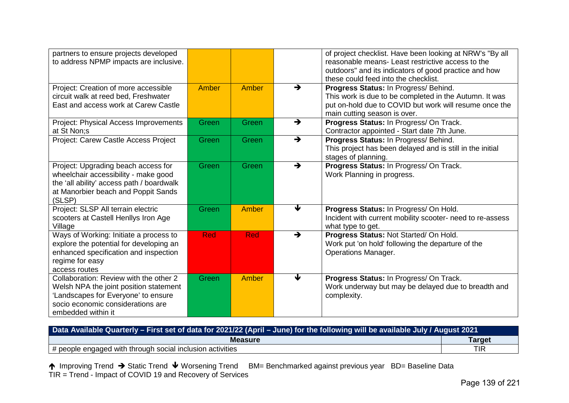| partners to ensure projects developed<br>to address NPMP impacts are inclusive.                                                                                                    |              |              |               | of project checklist. Have been looking at NRW's "By all<br>reasonable means- Least restrictive access to the<br>outdoors" and its indicators of good practice and how<br>these could feed into the checklist. |
|------------------------------------------------------------------------------------------------------------------------------------------------------------------------------------|--------------|--------------|---------------|----------------------------------------------------------------------------------------------------------------------------------------------------------------------------------------------------------------|
| Project: Creation of more accessible<br>circuit walk at reed bed, Freshwater<br>East and access work at Carew Castle                                                               | <b>Amber</b> | <b>Amber</b> | $\rightarrow$ | Progress Status: In Progress/ Behind.<br>This work is due to be completed in the Autumn. It was<br>put on-hold due to COVID but work will resume once the<br>main cutting season is over.                      |
| Project: Physical Access Improvements<br>at St Non;s                                                                                                                               | Green        | Green        | $\rightarrow$ | Progress Status: In Progress/ On Track.<br>Contractor appointed - Start date 7th June.                                                                                                                         |
| Project: Carew Castle Access Project                                                                                                                                               | <b>Green</b> | Green        | $\rightarrow$ | Progress Status: In Progress/ Behind.<br>This project has been delayed and is still in the initial<br>stages of planning.                                                                                      |
| Project: Upgrading beach access for<br>wheelchair accessibility - make good<br>the 'all ability' access path / boardwalk<br>at Manorbier beach and Poppit Sands<br>(SLSP)          | Green        | Green        | $\rightarrow$ | Progress Status: In Progress/ On Track.<br>Work Planning in progress.                                                                                                                                          |
| Project: SLSP All terrain electric<br>scooters at Castell Henllys Iron Age<br>Village                                                                                              | Green        | Amber        | ₩             | Progress Status: In Progress/ On Hold.<br>Incident with current mobility scooter- need to re-assess<br>what type to get.                                                                                       |
| Ways of Working: Initiate a process to<br>explore the potential for developing an<br>enhanced specification and inspection<br>regime for easy<br>access routes                     | <b>Red</b>   | <b>Red</b>   | $\rightarrow$ | Progress Status: Not Started/ On Hold.<br>Work put 'on hold' following the departure of the<br><b>Operations Manager.</b>                                                                                      |
| Collaboration: Review with the other 2<br>Welsh NPA the joint position statement<br>'Landscapes for Everyone' to ensure<br>socio economic considerations are<br>embedded within it | Green        | <b>Amber</b> | ₩             | Progress Status: In Progress/ On Track.<br>Work underway but may be delayed due to breadth and<br>complexity.                                                                                                  |

| Data Available Quarterly - First set of data for 2021/22 (April - June) for the following will be available July / August 2021 |               |  |  |  |
|--------------------------------------------------------------------------------------------------------------------------------|---------------|--|--|--|
| <b>Measure</b>                                                                                                                 | <b>Target</b> |  |  |  |
| # people engaged with through social inclusion activities                                                                      | <b>TIR</b>    |  |  |  |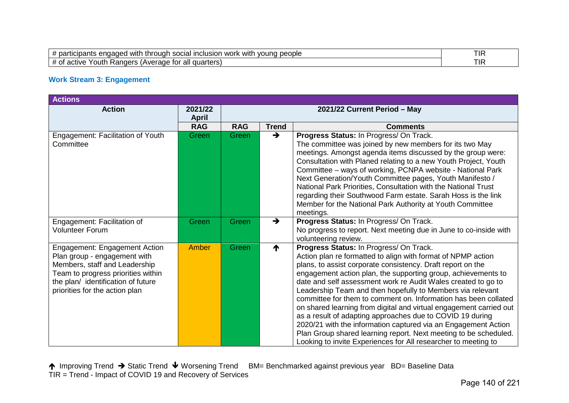| eople<br>vound<br>with<br>inclusio<br>SOCIA<br>'nΩ<br><b>WC</b><br>- Ar<br>жаг<br>tnr<br>12016<br>માર<br>Jd!<br><b>VVIII</b> | <b>TIR</b> |
|------------------------------------------------------------------------------------------------------------------------------|------------|
| all<br>quarters<br>. Rangers<br>'outh<br>۱ Auor<br>active<br>TOI<br>nai                                                      | <b>TIR</b> |

# **Work Stream 3: Engagement**

| <b>Actions</b>                                                                                                                                                                                               |                         |                              |               |                                                                                                                                                                                                                                                                                                                                                                                                                                                                                                                                                                                                                                                                                                                                                                                      |  |
|--------------------------------------------------------------------------------------------------------------------------------------------------------------------------------------------------------------|-------------------------|------------------------------|---------------|--------------------------------------------------------------------------------------------------------------------------------------------------------------------------------------------------------------------------------------------------------------------------------------------------------------------------------------------------------------------------------------------------------------------------------------------------------------------------------------------------------------------------------------------------------------------------------------------------------------------------------------------------------------------------------------------------------------------------------------------------------------------------------------|--|
| <b>Action</b>                                                                                                                                                                                                | 2021/22<br><b>April</b> | 2021/22 Current Period - May |               |                                                                                                                                                                                                                                                                                                                                                                                                                                                                                                                                                                                                                                                                                                                                                                                      |  |
|                                                                                                                                                                                                              | <b>RAG</b>              | <b>RAG</b>                   | <b>Trend</b>  | <b>Comments</b>                                                                                                                                                                                                                                                                                                                                                                                                                                                                                                                                                                                                                                                                                                                                                                      |  |
| Engagement: Facilitation of Youth<br>Committee                                                                                                                                                               | Green                   | <b>Green</b>                 | $\rightarrow$ | Progress Status: In Progress/ On Track.<br>The committee was joined by new members for its two May<br>meetings. Amongst agenda items discussed by the group were:<br>Consultation with Planed relating to a new Youth Project, Youth<br>Committee - ways of working, PCNPA website - National Park<br>Next Generation/Youth Committee pages, Youth Manifesto /<br>National Park Priorities, Consultation with the National Trust<br>regarding their Southwood Farm estate. Sarah Hoss is the link<br>Member for the National Park Authority at Youth Committee<br>meetings.                                                                                                                                                                                                          |  |
| Engagement: Facilitation of<br><b>Volunteer Forum</b>                                                                                                                                                        | Green                   | Green                        | $\rightarrow$ | Progress Status: In Progress/ On Track.<br>No progress to report. Next meeting due in June to co-inside with<br>volunteering review.                                                                                                                                                                                                                                                                                                                                                                                                                                                                                                                                                                                                                                                 |  |
| Engagement: Engagement Action<br>Plan group - engagement with<br>Members, staff and Leadership<br>Team to progress priorities within<br>the plan/ identification of future<br>priorities for the action plan | <b>Amber</b>            | Green                        | ↑             | Progress Status: In Progress/ On Track.<br>Action plan re formatted to align with format of NPMP action<br>plans, to assist corporate consistency. Draft report on the<br>engagement action plan, the supporting group, achievements to<br>date and self assessment work re Audit Wales created to go to<br>Leadership Team and then hopefully to Members via relevant<br>committee for them to comment on. Information has been collated<br>on shared learning from digital and virtual engagement carried out<br>as a result of adapting approaches due to COVID 19 during<br>2020/21 with the information captured via an Engagement Action<br>Plan Group shared learning report. Next meeting to be scheduled.<br>Looking to invite Experiences for All researcher to meeting to |  |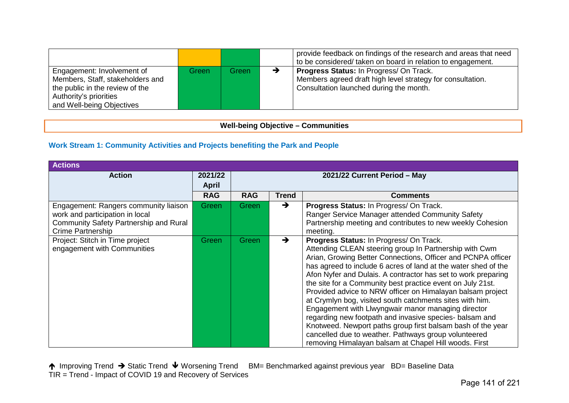|                                                                                                                                                          |       |       | provide feedback on findings of the research and areas that need<br>to be considered/ taken on board in relation to engagement.                         |
|----------------------------------------------------------------------------------------------------------------------------------------------------------|-------|-------|---------------------------------------------------------------------------------------------------------------------------------------------------------|
| Engagement: Involvement of<br>Members, Staff, stakeholders and<br>the public in the review of the<br>Authority's priorities<br>and Well-being Objectives | Green | Green | <b>Progress Status: In Progress/ On Track.</b><br>Members agreed draft high level strategy for consultation.<br>Consultation launched during the month. |

# **Well-being Objective – Communities**

# **Work Stream 1: Community Activities and Projects benefiting the Park and People**

| <b>Actions</b>                                                                                                                          |              |                              |               |                                                                                                                                                                                                                                                                                                                                                                                                                                                                                                                                                                                                                                                                                                                                                                                               |  |  |  |
|-----------------------------------------------------------------------------------------------------------------------------------------|--------------|------------------------------|---------------|-----------------------------------------------------------------------------------------------------------------------------------------------------------------------------------------------------------------------------------------------------------------------------------------------------------------------------------------------------------------------------------------------------------------------------------------------------------------------------------------------------------------------------------------------------------------------------------------------------------------------------------------------------------------------------------------------------------------------------------------------------------------------------------------------|--|--|--|
| <b>Action</b>                                                                                                                           | 2021/22      | 2021/22 Current Period - May |               |                                                                                                                                                                                                                                                                                                                                                                                                                                                                                                                                                                                                                                                                                                                                                                                               |  |  |  |
|                                                                                                                                         | <b>April</b> |                              |               |                                                                                                                                                                                                                                                                                                                                                                                                                                                                                                                                                                                                                                                                                                                                                                                               |  |  |  |
|                                                                                                                                         | <b>RAG</b>   | <b>RAG</b>                   | <b>Trend</b>  | <b>Comments</b>                                                                                                                                                                                                                                                                                                                                                                                                                                                                                                                                                                                                                                                                                                                                                                               |  |  |  |
| Engagement: Rangers community liaison<br>work and participation in local<br>Community Safety Partnership and Rural<br>Crime Partnership | Green        | Green                        | $\rightarrow$ | Progress Status: In Progress/ On Track.<br>Ranger Service Manager attended Community Safety<br>Partnership meeting and contributes to new weekly Cohesion<br>meeting.                                                                                                                                                                                                                                                                                                                                                                                                                                                                                                                                                                                                                         |  |  |  |
| Project: Stitch in Time project<br>engagement with Communities                                                                          | Green        | Green                        | $\rightarrow$ | Progress Status: In Progress/ On Track.<br>Attending CLEAN steering group In Partnership with Cwm<br>Arian, Growing Better Connections, Officer and PCNPA officer<br>has agreed to include 6 acres of land at the water shed of the<br>Afon Nyfer and Dulais. A contractor has set to work preparing<br>the site for a Community best practice event on July 21st.<br>Provided advice to NRW officer on Himalayan balsam project<br>at Crymlyn bog, visited south catchments sites with him.<br>Engagement with Llwyngwair manor managing director<br>regarding new footpath and invasive species- balsam and<br>Knotweed. Newport paths group first balsam bash of the year<br>cancelled due to weather. Pathways group volunteered<br>removing Himalayan balsam at Chapel Hill woods. First |  |  |  |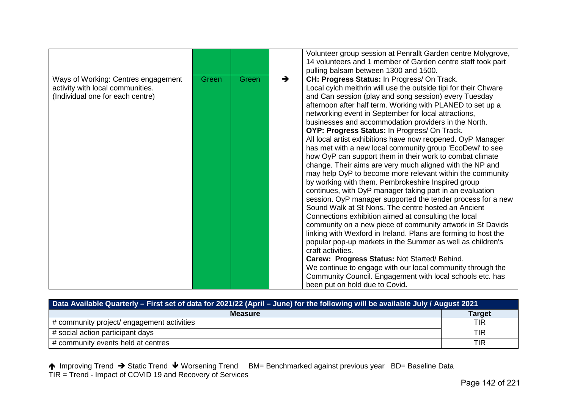|                                                                                                             |       |       |               | Volunteer group session at Penrallt Garden centre Molygrove,<br>14 volunteers and 1 member of Garden centre staff took part<br>pulling balsam between 1300 and 1500.                                                                                                                                                                                                                                                                                                                                                                                                                                                                                                                                                                                                                                                                                                                                                                                                                                                                                                                                                                                                                                                                                                                                                                                                                                                                                  |
|-------------------------------------------------------------------------------------------------------------|-------|-------|---------------|-------------------------------------------------------------------------------------------------------------------------------------------------------------------------------------------------------------------------------------------------------------------------------------------------------------------------------------------------------------------------------------------------------------------------------------------------------------------------------------------------------------------------------------------------------------------------------------------------------------------------------------------------------------------------------------------------------------------------------------------------------------------------------------------------------------------------------------------------------------------------------------------------------------------------------------------------------------------------------------------------------------------------------------------------------------------------------------------------------------------------------------------------------------------------------------------------------------------------------------------------------------------------------------------------------------------------------------------------------------------------------------------------------------------------------------------------------|
| Ways of Working: Centres engagement<br>activity with local communities.<br>(Individual one for each centre) | Green | Green | $\rightarrow$ | CH: Progress Status: In Progress/ On Track.<br>Local cylch meithrin will use the outside tipi for their Chware<br>and Can session (play and song session) every Tuesday<br>afternoon after half term. Working with PLANED to set up a<br>networking event in September for local attractions,<br>businesses and accommodation providers in the North.<br>OYP: Progress Status: In Progress/ On Track.<br>All local artist exhibitions have now reopened. OyP Manager<br>has met with a new local community group 'EcoDewi' to see<br>how OyP can support them in their work to combat climate<br>change. Their aims are very much aligned with the NP and<br>may help OyP to become more relevant within the community<br>by working with them. Pembrokeshire Inspired group<br>continues, with OyP manager taking part in an evaluation<br>session. OyP manager supported the tender process for a new<br>Sound Walk at St Nons. The centre hosted an Ancient<br>Connections exhibition aimed at consulting the local<br>community on a new piece of community artwork in St Davids<br>linking with Wexford in Ireland. Plans are forming to host the<br>popular pop-up markets in the Summer as well as children's<br>craft activities.<br>Carew: Progress Status: Not Started/Behind.<br>We continue to engage with our local community through the<br>Community Council. Engagement with local schools etc. has<br>been put on hold due to Covid. |

| Data Available Quarterly – First set of data for 2021/22 (April – June) for the following will be available July / August 2021 |               |  |  |  |  |
|--------------------------------------------------------------------------------------------------------------------------------|---------------|--|--|--|--|
| <b>Measure</b>                                                                                                                 | <b>Target</b> |  |  |  |  |
| # community project/ engagement activities                                                                                     | <b>TIR</b>    |  |  |  |  |
| # social action participant days                                                                                               | <b>TIR</b>    |  |  |  |  |
| # community events held at centres                                                                                             | <b>TIR</b>    |  |  |  |  |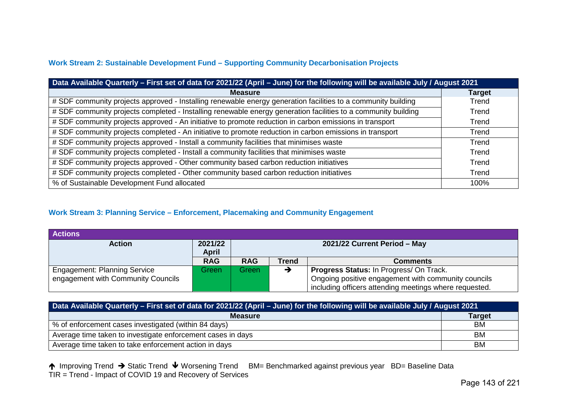# **Work Stream 2: Sustainable Development Fund – Supporting Community Decarbonisation Projects**

| Data Available Quarterly - First set of data for 2021/22 (April - June) for the following will be available July / August 2021 |               |  |  |  |  |
|--------------------------------------------------------------------------------------------------------------------------------|---------------|--|--|--|--|
| <b>Measure</b>                                                                                                                 | <b>Target</b> |  |  |  |  |
| # SDF community projects approved - Installing renewable energy generation facilities to a community building                  | Trend         |  |  |  |  |
| # SDF community projects completed - Installing renewable energy generation facilities to a community building                 | Trend         |  |  |  |  |
| # SDF community projects approved - An initiative to promote reduction in carbon emissions in transport                        | Trend         |  |  |  |  |
| # SDF community projects completed - An initiative to promote reduction in carbon emissions in transport                       | Trend         |  |  |  |  |
| # SDF community projects approved - Install a community facilities that minimises waste                                        | Trend         |  |  |  |  |
| # SDF community projects completed - Install a community facilities that minimises waste                                       | Trend         |  |  |  |  |
| # SDF community projects approved - Other community based carbon reduction initiatives                                         | Trend         |  |  |  |  |
| # SDF community projects completed - Other community based carbon reduction initiatives                                        | Trend         |  |  |  |  |
| % of Sustainable Development Fund allocated                                                                                    | 100%          |  |  |  |  |

#### **Work Stream 3: Planning Service – Enforcement, Placemaking and Community Engagement**

| <b>Actions</b>                      |                  |                              |       |                                                        |  |
|-------------------------------------|------------------|------------------------------|-------|--------------------------------------------------------|--|
| <b>Action</b>                       | 2021/22<br>April | 2021/22 Current Period - May |       |                                                        |  |
|                                     | <b>RAG</b>       | <b>RAG</b>                   | Trend | <b>Comments</b>                                        |  |
| <b>Engagement: Planning Service</b> | Green            | Green                        |       | <b>Progress Status: In Progress/ On Track.</b>         |  |
| engagement with Community Councils  |                  |                              |       | Ongoing positive engagement with community councils    |  |
|                                     |                  |                              |       | including officers attending meetings where requested. |  |

| Data Available Quarterly - First set of data for 2021/22 (April - June) for the following will be available July / August 2021 |               |  |  |  |  |
|--------------------------------------------------------------------------------------------------------------------------------|---------------|--|--|--|--|
| <b>Measure</b>                                                                                                                 | <b>Target</b> |  |  |  |  |
| % of enforcement cases investigated (within 84 days)                                                                           | BM            |  |  |  |  |
| Average time taken to investigate enforcement cases in days                                                                    | BM            |  |  |  |  |
| Average time taken to take enforcement action in days                                                                          | <b>BM</b>     |  |  |  |  |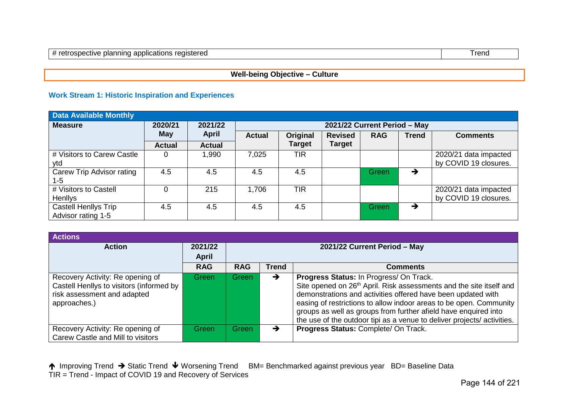# **Well-being Objective – Culture**

### **Work Stream 1: Historic Inspiration and Experiences**

| <b>Data Available Monthly</b> |               |               |               |               |                |                              |               |                       |
|-------------------------------|---------------|---------------|---------------|---------------|----------------|------------------------------|---------------|-----------------------|
| <b>Measure</b>                | 2020/21       | 2021/22       |               |               |                | 2021/22 Current Period - May |               |                       |
|                               | May           | <b>April</b>  | <b>Actual</b> | Original      | <b>Revised</b> | <b>RAG</b>                   | <b>Trend</b>  | <b>Comments</b>       |
|                               | <b>Actual</b> | <b>Actual</b> |               | <b>Target</b> | <b>Target</b>  |                              |               |                       |
| # Visitors to Carew Castle    | 0             | 1,990         | 7,025         | <b>TIR</b>    |                |                              |               | 2020/21 data impacted |
| vtd                           |               |               |               |               |                |                              |               | by COVID 19 closures. |
| Carew Trip Advisor rating     | 4.5           | 4.5           | 4.5           | 4.5           |                | Green                        | $\rightarrow$ |                       |
| 1-5                           |               |               |               |               |                |                              |               |                       |
| # Visitors to Castell         | $\Omega$      | 215           | 1,706         | <b>TIR</b>    |                |                              |               | 2020/21 data impacted |
| <b>Henllys</b>                |               |               |               |               |                |                              |               | by COVID 19 closures. |
| Castell Henllys Trip          | 4.5           | 4.5           | 4.5           | 4.5           |                | Green                        | →             |                       |
| Advisor rating 1-5            |               |               |               |               |                |                              |               |                       |

| <b>Actions</b>                                                                                                              |                         |                              |       |                                                                                                                                                                                                                                                                                                                                                                                                               |  |  |  |
|-----------------------------------------------------------------------------------------------------------------------------|-------------------------|------------------------------|-------|---------------------------------------------------------------------------------------------------------------------------------------------------------------------------------------------------------------------------------------------------------------------------------------------------------------------------------------------------------------------------------------------------------------|--|--|--|
| <b>Action</b>                                                                                                               | 2021/22<br><b>April</b> | 2021/22 Current Period - May |       |                                                                                                                                                                                                                                                                                                                                                                                                               |  |  |  |
|                                                                                                                             | <b>RAG</b>              | <b>RAG</b>                   | Trend | Comments                                                                                                                                                                                                                                                                                                                                                                                                      |  |  |  |
| Recovery Activity: Re opening of<br>Castell Henllys to visitors (informed by<br>risk assessment and adapted<br>approaches.) | Green                   | Green                        | →     | Progress Status: In Progress/ On Track.<br>Site opened on 26 <sup>th</sup> April. Risk assessments and the site itself and<br>demonstrations and activities offered have been updated with<br>easing of restrictions to allow indoor areas to be open. Community<br>groups as well as groups from further afield have enquired into<br>the use of the outdoor tipi as a venue to deliver projects/activities. |  |  |  |
| Recovery Activity: Re opening of<br>Carew Castle and Mill to visitors                                                       | Green                   | Green                        | →     | Progress Status: Complete/ On Track.                                                                                                                                                                                                                                                                                                                                                                          |  |  |  |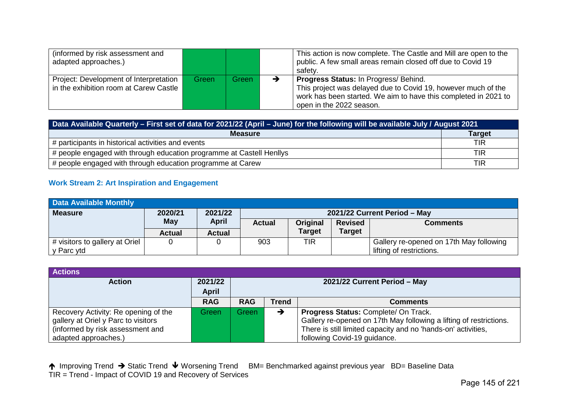| (informed by risk assessment and<br>adapted approaches.)                         |       |         | This action is now complete. The Castle and Mill are open to the<br>public. A few small areas remain closed off due to Covid 19<br>safety.                                                            |
|----------------------------------------------------------------------------------|-------|---------|-------------------------------------------------------------------------------------------------------------------------------------------------------------------------------------------------------|
| Project: Development of Interpretation<br>in the exhibition room at Carew Castle | Green | Green \ | Progress Status: In Progress/ Behind.<br>This project was delayed due to Covid 19, however much of the<br>work has been started. We aim to have this completed in 2021 to<br>open in the 2022 season. |

| Data Available Quarterly – First set of data for 2021/22 (April – June) for the following will be available July / August 2021 |               |  |  |  |  |
|--------------------------------------------------------------------------------------------------------------------------------|---------------|--|--|--|--|
| <b>Measure</b>                                                                                                                 | <b>Target</b> |  |  |  |  |
| # participants in historical activities and events                                                                             | <b>TIR</b>    |  |  |  |  |
| # people engaged with through education programme at Castell Henllys                                                           | <b>TIR</b>    |  |  |  |  |
| # people engaged with through education programme at Carew                                                                     | <b>TIR</b>    |  |  |  |  |

# **Work Stream 2: Art Inspiration and Engagement**

| <b>Data Available Monthly</b>  |               |               |                                                                |               |               |                                         |  |
|--------------------------------|---------------|---------------|----------------------------------------------------------------|---------------|---------------|-----------------------------------------|--|
| <b>Measure</b>                 | 2020/21       | 2021/22       |                                                                |               |               | 2021/22 Current Period - May            |  |
|                                | <b>May</b>    | April         | Original<br><b>Actual</b><br><b>Revised</b><br><b>Comments</b> |               |               |                                         |  |
|                                | <b>Actual</b> | <b>Actual</b> |                                                                | <b>Target</b> | <b>Target</b> |                                         |  |
| # visitors to gallery at Oriel |               |               | 903                                                            | TIR           |               | Gallery re-opened on 17th May following |  |
| y Parc ytd                     |               |               |                                                                |               |               | lifting of restrictions.                |  |

| <b>Actions</b>                       |            |            |       |                                                                    |
|--------------------------------------|------------|------------|-------|--------------------------------------------------------------------|
| <b>Action</b>                        | 2021/22    |            |       | 2021/22 Current Period - May                                       |
|                                      | April      |            |       |                                                                    |
|                                      | <b>RAG</b> | <b>RAG</b> | Trend | <b>Comments</b>                                                    |
| Recovery Activity: Re opening of the | Green      | Green      |       | Progress Status: Complete/ On Track.                               |
| gallery at Oriel y Parc to visitors  |            |            |       | Gallery re-opened on 17th May following a lifting of restrictions. |
| (informed by risk assessment and     |            |            |       | There is still limited capacity and no 'hands-on' activities,      |
| adapted approaches.)                 |            |            |       | following Covid-19 guidance.                                       |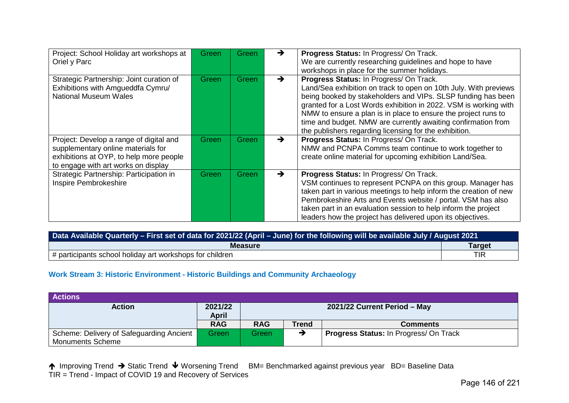| Project: School Holiday art workshops at<br>Oriel y Parc                                                                                                        | <b>Green</b> | Green        | →             | Progress Status: In Progress/ On Track.<br>We are currently researching guidelines and hope to have<br>workshops in place for the summer holidays.                                                                                                                                                                                                                                                                                           |
|-----------------------------------------------------------------------------------------------------------------------------------------------------------------|--------------|--------------|---------------|----------------------------------------------------------------------------------------------------------------------------------------------------------------------------------------------------------------------------------------------------------------------------------------------------------------------------------------------------------------------------------------------------------------------------------------------|
| Strategic Partnership: Joint curation of<br>Exhibitions with Amgueddfa Cymru/<br><b>National Museum Wales</b>                                                   | <b>Green</b> | <b>Green</b> | $\rightarrow$ | Progress Status: In Progress/ On Track.<br>Land/Sea exhibition on track to open on 10th July. With previews<br>being booked by stakeholders and VIPs. SLSP funding has been<br>granted for a Lost Words exhibition in 2022. VSM is working with<br>NMW to ensure a plan is in place to ensure the project runs to<br>time and budget. NMW are currently awaiting confirmation from<br>the publishers regarding licensing for the exhibition. |
| Project: Develop a range of digital and<br>supplementary online materials for<br>exhibitions at OYP, to help more people<br>to engage with art works on display | Green        | <b>Green</b> | $\rightarrow$ | Progress Status: In Progress/ On Track.<br>NMW and PCNPA Comms team continue to work together to<br>create online material for upcoming exhibition Land/Sea.                                                                                                                                                                                                                                                                                 |
| Strategic Partnership: Participation in<br>Inspire Pembrokeshire                                                                                                | Green        | Green        | $\rightarrow$ | Progress Status: In Progress/ On Track.<br>VSM continues to represent PCNPA on this group. Manager has<br>taken part in various meetings to help inform the creation of new<br>Pembrokeshire Arts and Events website / portal. VSM has also<br>taken part in an evaluation session to help inform the project<br>leaders how the project has delivered upon its objectives.                                                                  |

| Data Available Quarterly - First set of data for 2021/22 (April - June) for the following will be available July / August 2021 |            |  |  |  |  |
|--------------------------------------------------------------------------------------------------------------------------------|------------|--|--|--|--|
| <b>Measure</b><br><b>Target</b>                                                                                                |            |  |  |  |  |
| # participants school holiday art workshops for children                                                                       | <b>TIR</b> |  |  |  |  |

# **Work Stream 3: Historic Environment - Historic Buildings and Community Archaeology**

| <b>Actions</b>                                                      |                                                         |            |              |                                               |  |
|---------------------------------------------------------------------|---------------------------------------------------------|------------|--------------|-----------------------------------------------|--|
| <b>Action</b>                                                       | 2021/22<br>2021/22 Current Period - May<br><b>April</b> |            |              |                                               |  |
|                                                                     | <b>RAG</b>                                              | <b>RAG</b> | <b>Trend</b> | <b>Comments</b>                               |  |
| Scheme: Delivery of Safeguarding Ancient<br><b>Monuments Scheme</b> | Green                                                   | Green      |              | <b>Progress Status: In Progress/ On Track</b> |  |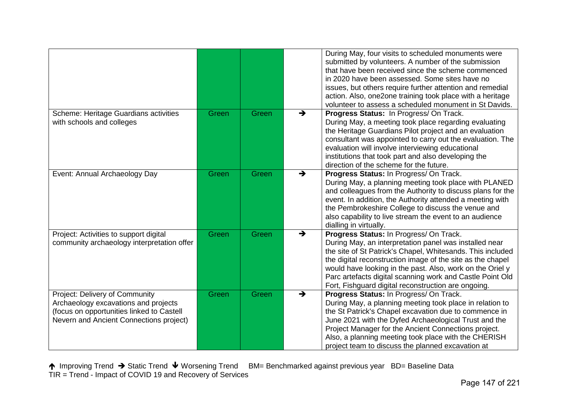|                                                                                                                                                                |       |       |   | During May, four visits to scheduled monuments were<br>submitted by volunteers. A number of the submission<br>that have been received since the scheme commenced<br>in 2020 have been assessed. Some sites have no<br>issues, but others require further attention and remedial<br>action. Also, one2one training took place with a heritage<br>volunteer to assess a scheduled monument in St Davids.         |
|----------------------------------------------------------------------------------------------------------------------------------------------------------------|-------|-------|---|----------------------------------------------------------------------------------------------------------------------------------------------------------------------------------------------------------------------------------------------------------------------------------------------------------------------------------------------------------------------------------------------------------------|
| Scheme: Heritage Guardians activities<br>with schools and colleges                                                                                             | Green | Green | → | Progress Status: In Progress/On Track.<br>During May, a meeting took place regarding evaluating<br>the Heritage Guardians Pilot project and an evaluation<br>consultant was appointed to carry out the evaluation. The<br>evaluation will involve interviewing educational<br>institutions that took part and also developing the<br>direction of the scheme for the future.                                   |
| Event: Annual Archaeology Day                                                                                                                                  | Green | Green | → | Progress Status: In Progress/ On Track.<br>During May, a planning meeting took place with PLANED<br>and colleagues from the Authority to discuss plans for the<br>event. In addition, the Authority attended a meeting with<br>the Pembrokeshire College to discuss the venue and<br>also capability to live stream the event to an audience<br>dialling in virtually.                                         |
| Project: Activities to support digital<br>community archaeology interpretation offer                                                                           | Green | Green | → | Progress Status: In Progress/ On Track.<br>During May, an interpretation panel was installed near<br>the site of St Patrick's Chapel, Whitesands. This included<br>the digital reconstruction image of the site as the chapel<br>would have looking in the past. Also, work on the Oriel y<br>Parc artefacts digital scanning work and Castle Point Old<br>Fort, Fishguard digital reconstruction are ongoing. |
| Project: Delivery of Community<br>Archaeology excavations and projects<br>(focus on opportunities linked to Castell<br>Nevern and Ancient Connections project) | Green | Green | → | Progress Status: In Progress/ On Track.<br>During May, a planning meeting took place in relation to<br>the St Patrick's Chapel excavation due to commence in<br>June 2021 with the Dyfed Archaeological Trust and the<br>Project Manager for the Ancient Connections project.<br>Also, a planning meeting took place with the CHERISH<br>project team to discuss the planned excavation at                     |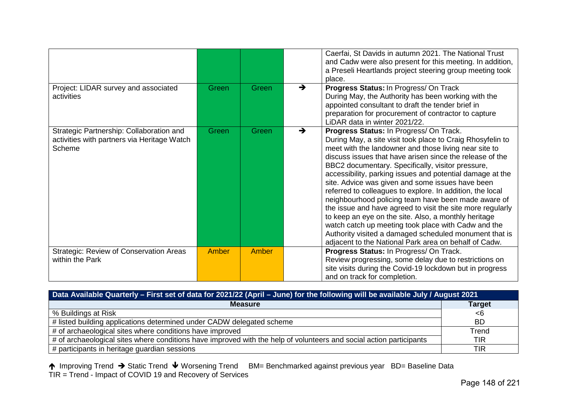|                                                                                                   |       |              |               | Caerfai, St Davids in autumn 2021. The National Trust<br>and Cadw were also present for this meeting. In addition,<br>a Preseli Heartlands project steering group meeting took<br>place.                                                                                                                                                                                                                                                                                                                                                                                                                                                                                                                                                                                                                             |
|---------------------------------------------------------------------------------------------------|-------|--------------|---------------|----------------------------------------------------------------------------------------------------------------------------------------------------------------------------------------------------------------------------------------------------------------------------------------------------------------------------------------------------------------------------------------------------------------------------------------------------------------------------------------------------------------------------------------------------------------------------------------------------------------------------------------------------------------------------------------------------------------------------------------------------------------------------------------------------------------------|
| Project: LIDAR survey and associated<br>activities                                                | Green | <b>Green</b> | $\rightarrow$ | Progress Status: In Progress/ On Track<br>During May, the Authority has been working with the<br>appointed consultant to draft the tender brief in<br>preparation for procurement of contractor to capture<br>LiDAR data in winter 2021/22.                                                                                                                                                                                                                                                                                                                                                                                                                                                                                                                                                                          |
| Strategic Partnership: Collaboration and<br>activities with partners via Heritage Watch<br>Scheme | Green | Green        | $\rightarrow$ | Progress Status: In Progress/ On Track.<br>During May, a site visit took place to Craig Rhosyfelin to<br>meet with the landowner and those living near site to<br>discuss issues that have arisen since the release of the<br>BBC2 documentary. Specifically, visitor pressure,<br>accessibility, parking issues and potential damage at the<br>site. Advice was given and some issues have been<br>referred to colleagues to explore. In addition, the local<br>neighbourhood policing team have been made aware of<br>the issue and have agreed to visit the site more regularly<br>to keep an eye on the site. Also, a monthly heritage<br>watch catch up meeting took place with Cadw and the<br>Authority visited a damaged scheduled monument that is<br>adjacent to the National Park area on behalf of Cadw. |
| Strategic: Review of Conservation Areas<br>within the Park                                        | Amber | Amber        |               | Progress Status: In Progress/ On Track.<br>Review progressing, some delay due to restrictions on<br>site visits during the Covid-19 lockdown but in progress<br>and on track for completion.                                                                                                                                                                                                                                                                                                                                                                                                                                                                                                                                                                                                                         |

| Data Available Quarterly – First set of data for 2021/22 (April – June) for the following will be available July / August 2021 |               |  |  |  |  |
|--------------------------------------------------------------------------------------------------------------------------------|---------------|--|--|--|--|
| <b>Measure</b>                                                                                                                 | <b>Target</b> |  |  |  |  |
| % Buildings at Risk                                                                                                            | - 6           |  |  |  |  |
| # listed building applications determined under CADW delegated scheme                                                          | <b>BD</b>     |  |  |  |  |
| # of archaeological sites where conditions have improved                                                                       | Trend         |  |  |  |  |
| # of archaeological sites where conditions have improved with the help of volunteers and social action participants            | <b>TIR</b>    |  |  |  |  |
| # participants in heritage guardian sessions                                                                                   | <b>TIR</b>    |  |  |  |  |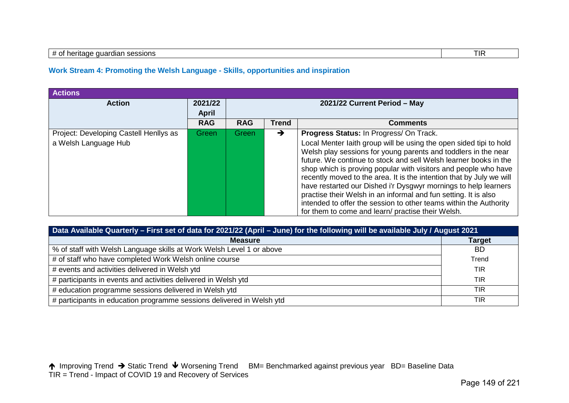#### # of heritage guardian sessions TIR

#### **Work Stream 4: Promoting the Welsh Language - Skills, opportunities and inspiration**

| <b>Actions</b>                                                 |                         |                              |              |                                                                                                                                                                                                                                                                                                                                                                                                                                                                                                                                                                                                                                                                |  |  |  |  |
|----------------------------------------------------------------|-------------------------|------------------------------|--------------|----------------------------------------------------------------------------------------------------------------------------------------------------------------------------------------------------------------------------------------------------------------------------------------------------------------------------------------------------------------------------------------------------------------------------------------------------------------------------------------------------------------------------------------------------------------------------------------------------------------------------------------------------------------|--|--|--|--|
| <b>Action</b>                                                  | 2021/22<br><b>April</b> | 2021/22 Current Period - May |              |                                                                                                                                                                                                                                                                                                                                                                                                                                                                                                                                                                                                                                                                |  |  |  |  |
|                                                                | <b>RAG</b>              | <b>RAG</b>                   | <b>Trend</b> | <b>Comments</b>                                                                                                                                                                                                                                                                                                                                                                                                                                                                                                                                                                                                                                                |  |  |  |  |
| Project: Developing Castell Henllys as<br>a Welsh Language Hub | Green                   | Green                        | →            | Progress Status: In Progress/ On Track.<br>Local Menter laith group will be using the open sided tipi to hold<br>Welsh play sessions for young parents and toddlers in the near<br>future. We continue to stock and sell Welsh learner books in the<br>shop which is proving popular with visitors and people who have<br>recently moved to the area. It is the intention that by July we will<br>have restarted our Dished i'r Dysgwyr mornings to help learners<br>practise their Welsh in an informal and fun setting. It is also<br>intended to offer the session to other teams within the Authority<br>for them to come and learn/ practise their Welsh. |  |  |  |  |

| Data Available Quarterly - First set of data for 2021/22 (April - June) for the following will be available July / August 2021 |               |  |  |  |
|--------------------------------------------------------------------------------------------------------------------------------|---------------|--|--|--|
| <b>Measure</b>                                                                                                                 | <b>Target</b> |  |  |  |
| % of staff with Welsh Language skills at Work Welsh Level 1 or above                                                           | <b>BD</b>     |  |  |  |
| # of staff who have completed Work Welsh online course                                                                         | Trend         |  |  |  |
| # events and activities delivered in Welsh ytd                                                                                 | <b>TIR</b>    |  |  |  |
| # participants in events and activities delivered in Welsh ytd                                                                 | <b>TIR</b>    |  |  |  |
| # education programme sessions delivered in Welsh ytd                                                                          | <b>TIR</b>    |  |  |  |
| # participants in education programme sessions delivered in Welsh ytd                                                          | TIR           |  |  |  |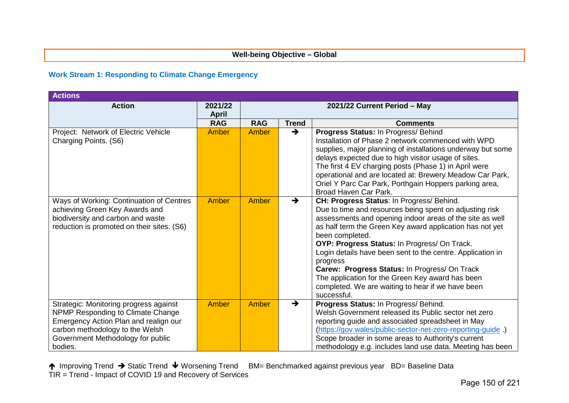#### **Well-being Objective – Global**

### **Work Stream 1: Responding to Climate Change Emergency**

| <b>Actions</b>                               |                            |              |               |                                                                                                                  |
|----------------------------------------------|----------------------------|--------------|---------------|------------------------------------------------------------------------------------------------------------------|
| <b>Action</b>                                | 2021/22                    |              |               | 2021/22 Current Period - May                                                                                     |
|                                              | <b>April</b><br><b>RAG</b> | <b>RAG</b>   | <b>Trend</b>  | <b>Comments</b>                                                                                                  |
| Project: Network of Electric Vehicle         | <b>Amber</b>               | <b>Amber</b> | $\rightarrow$ | Progress Status: In Progress/ Behind                                                                             |
| Charging Points. (S6)                        |                            |              |               | Installation of Phase 2 network commenced with WPD                                                               |
|                                              |                            |              |               | supplies, major planning of installations underway but some                                                      |
|                                              |                            |              |               | delays expected due to high visitor usage of sites.                                                              |
|                                              |                            |              |               | The first 4 EV charging posts (Phase 1) in April were                                                            |
|                                              |                            |              |               | operational and are located at: Brewery Meadow Car Park,                                                         |
|                                              |                            |              |               | Oriel Y Parc Car Park, Porthgain Hoppers parking area,                                                           |
|                                              |                            |              |               | Broad Haven Car Park.                                                                                            |
| Ways of Working: Continuation of Centres     | Amber                      | Amber        | $\rightarrow$ | CH: Progress Status: In Progress/ Behind.                                                                        |
| achieving Green Key Awards and               |                            |              |               | Due to time and resources being spent on adjusting risk                                                          |
| biodiversity and carbon and waste            |                            |              |               | assessments and opening indoor areas of the site as well                                                         |
| reduction is promoted on their sites. (S6)   |                            |              |               | as half term the Green Key award application has not yet<br>been completed.                                      |
|                                              |                            |              |               | OYP: Progress Status: In Progress/ On Track.                                                                     |
|                                              |                            |              |               | Login details have been sent to the centre. Application in                                                       |
|                                              |                            |              |               | progress                                                                                                         |
|                                              |                            |              |               | Carew: Progress Status: In Progress/ On Track                                                                    |
|                                              |                            |              |               | The application for the Green Key award has been                                                                 |
|                                              |                            |              |               | completed. We are waiting to hear if we have been                                                                |
|                                              |                            |              |               | successful.                                                                                                      |
| Strategic: Monitoring progress against       | Amber                      | <b>Amber</b> | $\rightarrow$ | Progress Status: In Progress/ Behind.                                                                            |
| NPMP Responding to Climate Change            |                            |              |               | Welsh Government released its Public sector net zero                                                             |
| Emergency Action Plan and realign our        |                            |              |               | reporting guide and associated spreadsheet in May                                                                |
| carbon methodology to the Welsh              |                            |              |               | (https://gov.wales/public-sector-net-zero-reporting-guide)<br>Scope broader in some areas to Authority's current |
| Government Methodology for public<br>bodies. |                            |              |               | methodology e.g. includes land use data. Meeting has been                                                        |
|                                              |                            |              |               |                                                                                                                  |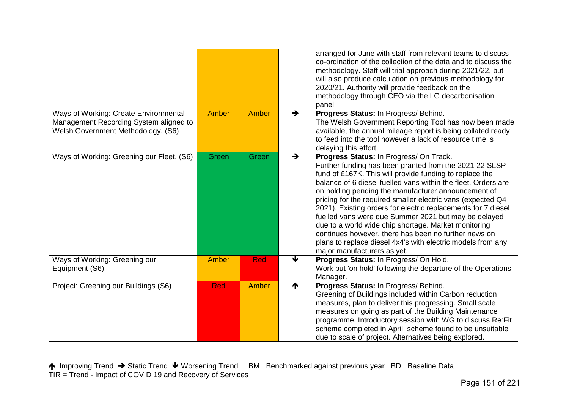|                                                                                                                       |              |            |               | arranged for June with staff from relevant teams to discuss<br>co-ordination of the collection of the data and to discuss the<br>methodology. Staff will trial approach during 2021/22, but<br>will also produce calculation on previous methodology for<br>2020/21. Authority will provide feedback on the<br>methodology through CEO via the LG decarbonisation<br>panel.                                                                                                                                                                                                                                                                                                                |
|-----------------------------------------------------------------------------------------------------------------------|--------------|------------|---------------|--------------------------------------------------------------------------------------------------------------------------------------------------------------------------------------------------------------------------------------------------------------------------------------------------------------------------------------------------------------------------------------------------------------------------------------------------------------------------------------------------------------------------------------------------------------------------------------------------------------------------------------------------------------------------------------------|
| Ways of Working: Create Environmental<br>Management Recording System aligned to<br>Welsh Government Methodology. (S6) | <b>Amber</b> | Amber      | $\rightarrow$ | Progress Status: In Progress/ Behind.<br>The Welsh Government Reporting Tool has now been made<br>available, the annual mileage report is being collated ready<br>to feed into the tool however a lack of resource time is<br>delaying this effort.                                                                                                                                                                                                                                                                                                                                                                                                                                        |
| Ways of Working: Greening our Fleet. (S6)                                                                             | Green        | Green      | $\rightarrow$ | Progress Status: In Progress/ On Track.<br>Further funding has been granted from the 2021-22 SLSP<br>fund of £167K. This will provide funding to replace the<br>balance of 6 diesel fuelled vans within the fleet. Orders are<br>on holding pending the manufacturer announcement of<br>pricing for the required smaller electric vans (expected Q4<br>2021). Existing orders for electric replacements for 7 diesel<br>fuelled vans were due Summer 2021 but may be delayed<br>due to a world wide chip shortage. Market monitoring<br>continues however, there has been no further news on<br>plans to replace diesel 4x4's with electric models from any<br>major manufacturers as yet. |
| Ways of Working: Greening our<br>Equipment (S6)                                                                       | <b>Amber</b> | <b>Red</b> | J             | Progress Status: In Progress/ On Hold.<br>Work put 'on hold' following the departure of the Operations<br>Manager.                                                                                                                                                                                                                                                                                                                                                                                                                                                                                                                                                                         |
| Project: Greening our Buildings (S6)                                                                                  | <b>Red</b>   | Amber      | ↑             | Progress Status: In Progress/ Behind.<br>Greening of Buildings included within Carbon reduction<br>measures, plan to deliver this progressing. Small scale<br>measures on going as part of the Building Maintenance<br>programme. Introductory session with WG to discuss Re: Fit<br>scheme completed in April, scheme found to be unsuitable<br>due to scale of project. Alternatives being explored.                                                                                                                                                                                                                                                                                     |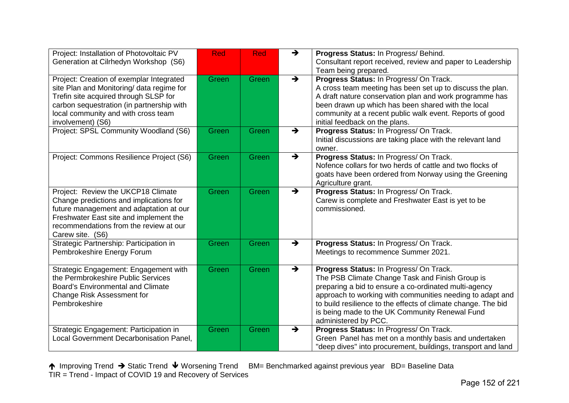| Project: Installation of Photovoltaic PV<br>Generation at Cilrhedyn Workshop (S6)                                                                                                                                                       | <b>Red</b> | <b>Red</b>   | $\rightarrow$ | Progress Status: In Progress/ Behind.<br>Consultant report received, review and paper to Leadership<br>Team being prepared.                                                                                                                                                                                                                                 |
|-----------------------------------------------------------------------------------------------------------------------------------------------------------------------------------------------------------------------------------------|------------|--------------|---------------|-------------------------------------------------------------------------------------------------------------------------------------------------------------------------------------------------------------------------------------------------------------------------------------------------------------------------------------------------------------|
| Project: Creation of exemplar Integrated<br>site Plan and Monitoring/ data regime for<br>Trefin site acquired through SLSP for<br>carbon sequestration (in partnership with<br>local community and with cross team<br>involvement) (S6) | Green      | Green        | $\rightarrow$ | Progress Status: In Progress/ On Track.<br>A cross team meeting has been set up to discuss the plan.<br>A draft nature conservation plan and work programme has<br>been drawn up which has been shared with the local<br>community at a recent public walk event. Reports of good<br>initial feedback on the plans.                                         |
| Project: SPSL Community Woodland (S6)                                                                                                                                                                                                   | Green      | Green        | $\rightarrow$ | Progress Status: In Progress/ On Track.<br>Initial discussions are taking place with the relevant land<br>owner.                                                                                                                                                                                                                                            |
| Project: Commons Resilience Project (S6)                                                                                                                                                                                                | Green      | Green        | $\rightarrow$ | Progress Status: In Progress/ On Track.<br>Nofence collars for two herds of cattle and two flocks of<br>goats have been ordered from Norway using the Greening<br>Agriculture grant.                                                                                                                                                                        |
| Project: Review the UKCP18 Climate<br>Change predictions and implications for<br>future management and adaptation at our<br>Freshwater East site and implement the<br>recommendations from the review at our<br>Carew site. (S6)        | Green      | <b>Green</b> | $\rightarrow$ | Progress Status: In Progress/ On Track.<br>Carew is complete and Freshwater East is yet to be<br>commissioned.                                                                                                                                                                                                                                              |
| Strategic Partnership: Participation in<br>Pembrokeshire Energy Forum                                                                                                                                                                   | Green      | Green        | $\rightarrow$ | Progress Status: In Progress/ On Track.<br>Meetings to recommence Summer 2021.                                                                                                                                                                                                                                                                              |
| Strategic Engagement: Engagement with<br>the Permbrokeshire Public Services<br>Board's Environmental and Climate<br><b>Change Risk Assessment for</b><br>Pembrokeshire                                                                  | Green      | Green        | $\rightarrow$ | Progress Status: In Progress/ On Track.<br>The PSB Climate Change Task and Finish Group is<br>preparing a bid to ensure a co-ordinated multi-agency<br>approach to working with communities needing to adapt and<br>to build resilience to the effects of climate change. The bid<br>is being made to the UK Community Renewal Fund<br>administered by PCC. |
| Strategic Engagement: Participation in<br>Local Government Decarbonisation Panel,                                                                                                                                                       | Green      | <b>Green</b> | $\rightarrow$ | Progress Status: In Progress/ On Track.<br>Green Panel has met on a monthly basis and undertaken<br>"deep dives" into procurement, buildings, transport and land                                                                                                                                                                                            |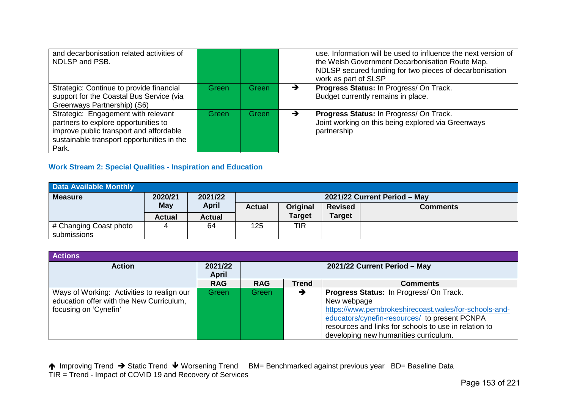| and decarbonisation related activities of<br>NDLSP and PSB.                                                                                                                   |       |       | use. Information will be used to influence the next version of<br>the Welsh Government Decarbonisation Route Map.<br>NDLSP secured funding for two pieces of decarbonisation<br>work as part of SLSP |
|-------------------------------------------------------------------------------------------------------------------------------------------------------------------------------|-------|-------|------------------------------------------------------------------------------------------------------------------------------------------------------------------------------------------------------|
| Strategic: Continue to provide financial<br>support for the Coastal Bus Service (via<br>Greenways Partnership) (S6)                                                           | Green | Green | Progress Status: In Progress/ On Track.<br>Budget currently remains in place.                                                                                                                        |
| Strategic: Engagement with relevant<br>partners to explore opportunities to<br>improve public transport and affordable<br>sustainable transport opportunities in the<br>Park. | Green | Green | Progress Status: In Progress/ On Track.<br>Joint working on this being explored via Greenways<br>partnership                                                                                         |

# **Work Stream 2: Special Qualities - Inspiration and Education**

| <b>Data Available Monthly</b> |               |                              |                                                                |               |               |  |  |  |  |
|-------------------------------|---------------|------------------------------|----------------------------------------------------------------|---------------|---------------|--|--|--|--|
| <b>Measure</b>                | 2021/22       | 2021/22 Current Period - May |                                                                |               |               |  |  |  |  |
|                               | May           | <b>April</b>                 | <b>Revised</b><br><b>Actual</b><br>Original<br><b>Comments</b> |               |               |  |  |  |  |
|                               | <b>Actual</b> | <b>Actual</b>                |                                                                | <b>Target</b> | <b>Target</b> |  |  |  |  |
| # Changing Coast photo        |               | 64                           | 125                                                            | TIR           |               |  |  |  |  |
| submissions                   |               |                              |                                                                |               |               |  |  |  |  |

| <b>Actions</b>                                                                                                  |                  |                              |              |                                                                                                                                                                                                                                                                    |  |  |
|-----------------------------------------------------------------------------------------------------------------|------------------|------------------------------|--------------|--------------------------------------------------------------------------------------------------------------------------------------------------------------------------------------------------------------------------------------------------------------------|--|--|
| <b>Action</b>                                                                                                   | 2021/22<br>April | 2021/22 Current Period - May |              |                                                                                                                                                                                                                                                                    |  |  |
|                                                                                                                 | <b>RAG</b>       | <b>RAG</b>                   | <b>Trend</b> | <b>Comments</b>                                                                                                                                                                                                                                                    |  |  |
| Ways of Working: Activities to realign our<br>education offer with the New Curriculum,<br>focusing on 'Cynefin' | Green            | Green                        | →            | Progress Status: In Progress/ On Track.<br>New webpage<br>https://www.pembrokeshirecoast.wales/for-schools-and-<br>educators/cynefin-resources/ to present PCNPA<br>resources and links for schools to use in relation to<br>developing new humanities curriculum. |  |  |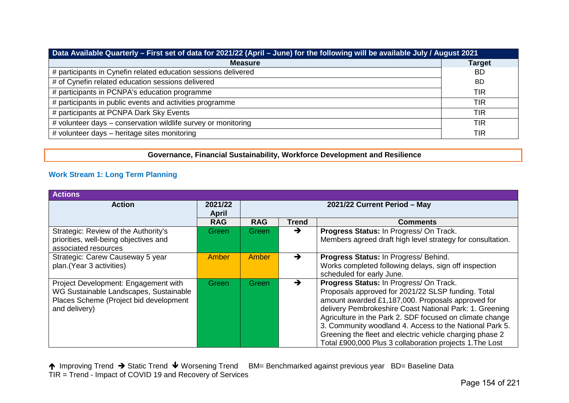| Data Available Quarterly – First set of data for 2021/22 (April – June) for the following will be available July / August 2021 |               |  |  |  |
|--------------------------------------------------------------------------------------------------------------------------------|---------------|--|--|--|
| <b>Measure</b>                                                                                                                 | <b>Target</b> |  |  |  |
| # participants in Cynefin related education sessions delivered                                                                 | <b>BD</b>     |  |  |  |
| # of Cynefin related education sessions delivered                                                                              | -BD           |  |  |  |
| # participants in PCNPA's education programme                                                                                  | <b>TIR</b>    |  |  |  |
| # participants in public events and activities programme                                                                       | <b>TIR</b>    |  |  |  |
| # participants at PCNPA Dark Sky Events                                                                                        | <b>TIR</b>    |  |  |  |
| # volunteer days – conservation wildlife survey or monitoring                                                                  | <b>TIR</b>    |  |  |  |
| # volunteer days - heritage sites monitoring                                                                                   | <b>TIR</b>    |  |  |  |

**Governance, Financial Sustainability, Workforce Development and Resilience**

# **Work Stream 1: Long Term Planning**

| <b>Actions</b>                                                                                                                            |                  |                              |               |                                                                                                                                                                                                                                                                                                                                                                                                                                                              |
|-------------------------------------------------------------------------------------------------------------------------------------------|------------------|------------------------------|---------------|--------------------------------------------------------------------------------------------------------------------------------------------------------------------------------------------------------------------------------------------------------------------------------------------------------------------------------------------------------------------------------------------------------------------------------------------------------------|
| <b>Action</b>                                                                                                                             | 2021/22<br>April | 2021/22 Current Period - May |               |                                                                                                                                                                                                                                                                                                                                                                                                                                                              |
|                                                                                                                                           | <b>RAG</b>       | <b>RAG</b>                   | <b>Trend</b>  | <b>Comments</b>                                                                                                                                                                                                                                                                                                                                                                                                                                              |
| Strategic: Review of the Authority's<br>priorities, well-being objectives and<br>associated resources                                     | Green            | Green                        | $\rightarrow$ | Progress Status: In Progress/ On Track.<br>Members agreed draft high level strategy for consultation.                                                                                                                                                                                                                                                                                                                                                        |
| Strategic: Carew Causeway 5 year<br>plan.(Year 3 activities)                                                                              | Amber            | Amber                        | $\rightarrow$ | Progress Status: In Progress/ Behind.<br>Works completed following delays, sign off inspection<br>scheduled for early June.                                                                                                                                                                                                                                                                                                                                  |
| Project Development: Engagement with<br>WG Sustainable Landscapes, Sustainable<br>Places Scheme (Project bid development<br>and delivery) | Green            | <b>Green</b>                 | →             | Progress Status: In Progress/ On Track.<br>Proposals approved for 2021/22 SLSP funding. Total<br>amount awarded £1,187,000. Proposals approved for<br>delivery Pembrokeshire Coast National Park: 1. Greening<br>Agriculture in the Park 2. SDF focused on climate change<br>3. Community woodland 4. Access to the National Park 5.<br>Greening the fleet and electric vehicle charging phase 2<br>Total £900,000 Plus 3 collaboration projects 1. The Lost |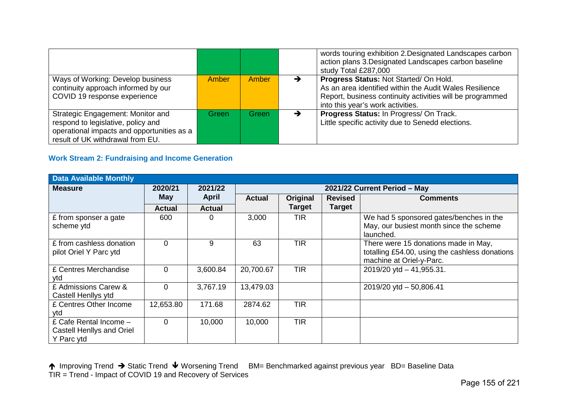|                                                                                                                                                           |       |       |   | words touring exhibition 2. Designated Landscapes carbon<br>action plans 3. Designated Landscapes carbon baseline<br>study Total £287,000                                                           |
|-----------------------------------------------------------------------------------------------------------------------------------------------------------|-------|-------|---|-----------------------------------------------------------------------------------------------------------------------------------------------------------------------------------------------------|
| Ways of Working: Develop business<br>continuity approach informed by our<br>COVID 19 response experience                                                  | Amber | Amber | ▼ | Progress Status: Not Started/ On Hold.<br>As an area identified within the Audit Wales Resilience<br>Report, business continuity activities will be programmed<br>into this year's work activities. |
| Strategic Engagement: Monitor and<br>respond to legislative, policy and<br>operational impacts and opportunities as a<br>result of UK withdrawal from EU. | Green | Green |   | Progress Status: In Progress/ On Track.<br>Little specific activity due to Senedd elections.                                                                                                        |

# **Work Stream 2: Fundraising and Income Generation**

| <b>Data Available Monthly</b>                                            |               |               |                              |               |                |                                                                                                                    |  |  |  |
|--------------------------------------------------------------------------|---------------|---------------|------------------------------|---------------|----------------|--------------------------------------------------------------------------------------------------------------------|--|--|--|
| <b>Measure</b>                                                           | 2020/21       | 2021/22       | 2021/22 Current Period - May |               |                |                                                                                                                    |  |  |  |
|                                                                          | <b>May</b>    | <b>April</b>  | <b>Actual</b>                | Original      | <b>Revised</b> | <b>Comments</b>                                                                                                    |  |  |  |
|                                                                          | <b>Actual</b> | <b>Actual</b> |                              | <b>Target</b> | <b>Target</b>  |                                                                                                                    |  |  |  |
| £ from sponser a gate<br>scheme ytd                                      | 600           | 0             | 3,000                        | <b>TIR</b>    |                | We had 5 sponsored gates/benches in the<br>May, our busiest month since the scheme<br>launched.                    |  |  |  |
| £ from cashless donation<br>pilot Oriel Y Parc ytd                       | $\Omega$      | 9             | 63                           | <b>TIR</b>    |                | There were 15 donations made in May,<br>totalling £54.00, using the cashless donations<br>machine at Oriel-y-Parc. |  |  |  |
| £ Centres Merchandise<br>ytd                                             | $\Omega$      | 3,600.84      | 20,700.67                    | <b>TIR</b>    |                | 2019/20 ytd - 41,955.31.                                                                                           |  |  |  |
| £ Admissions Carew &<br>Castell Henllys ytd                              | $\Omega$      | 3,767.19      | 13,479.03                    |               |                | 2019/20 ytd - 50,806.41                                                                                            |  |  |  |
| £ Centres Other Income<br>ytd                                            | 12,653.80     | 171.68        | 2874.62                      | <b>TIR</b>    |                |                                                                                                                    |  |  |  |
| £ Cafe Rental Income -<br><b>Castell Henllys and Oriel</b><br>Y Parc ytd | $\Omega$      | 10,000        | 10,000                       | <b>TIR</b>    |                |                                                                                                                    |  |  |  |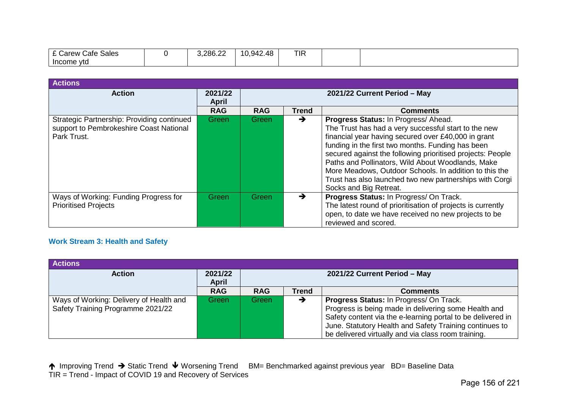| $\sim$ $\sim$<br>∴afe<br>Sales<br>arew | .286.22 | .942.48<br>v.o | <b>TIR</b> |  |
|----------------------------------------|---------|----------------|------------|--|
| Income ytd                             |         |                |            |  |

| <b>Actions</b>                                                                                       |                         |                              |               |                                                                                                                                                                                                                                                                                                                                                                                                                                                                           |
|------------------------------------------------------------------------------------------------------|-------------------------|------------------------------|---------------|---------------------------------------------------------------------------------------------------------------------------------------------------------------------------------------------------------------------------------------------------------------------------------------------------------------------------------------------------------------------------------------------------------------------------------------------------------------------------|
| <b>Action</b>                                                                                        | 2021/22<br><b>April</b> | 2021/22 Current Period - May |               |                                                                                                                                                                                                                                                                                                                                                                                                                                                                           |
|                                                                                                      | <b>RAG</b>              | <b>RAG</b>                   | <b>Trend</b>  | <b>Comments</b>                                                                                                                                                                                                                                                                                                                                                                                                                                                           |
| Strategic Partnership: Providing continued<br>support to Pembrokeshire Coast National<br>Park Trust. | <b>Green</b>            | <b>Green</b>                 | $\rightarrow$ | Progress Status: In Progress/Ahead.<br>The Trust has had a very successful start to the new<br>financial year having secured over £40,000 in grant<br>funding in the first two months. Funding has been<br>secured against the following prioritised projects: People<br>Paths and Pollinators, Wild About Woodlands, Make<br>More Meadows, Outdoor Schools. In addition to this the<br>Trust has also launched two new partnerships with Corgi<br>Socks and Big Retreat. |
| Ways of Working: Funding Progress for<br><b>Prioritised Projects</b>                                 | Green                   | Green                        | →             | Progress Status: In Progress/ On Track.<br>The latest round of prioritisation of projects is currently<br>open, to date we have received no new projects to be<br>reviewed and scored.                                                                                                                                                                                                                                                                                    |

# **Work Stream 3: Health and Safety**

| <b>Actions</b>                                                               |                         |                              |              |                                                                                                                                                                                                                                                                                  |
|------------------------------------------------------------------------------|-------------------------|------------------------------|--------------|----------------------------------------------------------------------------------------------------------------------------------------------------------------------------------------------------------------------------------------------------------------------------------|
| <b>Action</b>                                                                | 2021/22<br><b>April</b> | 2021/22 Current Period - May |              |                                                                                                                                                                                                                                                                                  |
|                                                                              | <b>RAG</b>              | <b>RAG</b>                   | <b>Trend</b> | <b>Comments</b>                                                                                                                                                                                                                                                                  |
| Ways of Working: Delivery of Health and<br>Safety Training Programme 2021/22 | Green                   | Green                        | →            | Progress Status: In Progress/ On Track.<br>Progress is being made in delivering some Health and<br>Safety content via the e-learning portal to be delivered in<br>June. Statutory Health and Safety Training continues to<br>be delivered virtually and via class room training. |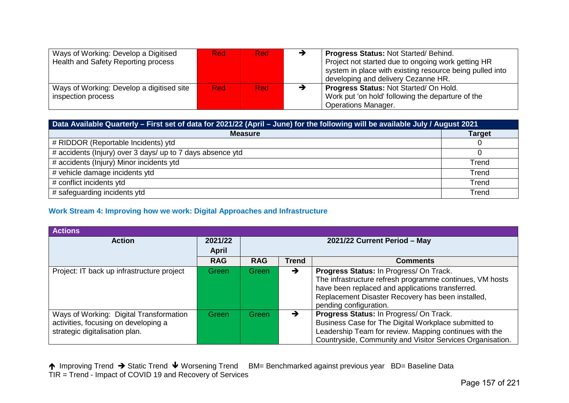| Ways of Working: Develop a Digitised<br>Health and Safety Reporting process | <b>Red</b> | <b>Red</b> | <b>Progress Status: Not Started/ Behind.</b><br>Project not started due to ongoing work getting HR<br>system in place with existing resource being pulled into<br>developing and delivery Cezanne HR. |
|-----------------------------------------------------------------------------|------------|------------|-------------------------------------------------------------------------------------------------------------------------------------------------------------------------------------------------------|
| Ways of Working: Develop a digitised site<br>inspection process             | <b>Red</b> | <b>Red</b> | Progress Status: Not Started/ On Hold.<br>Work put 'on hold' following the departure of the<br><b>Operations Manager.</b>                                                                             |

| Data Available Quarterly - First set of data for 2021/22 (April - June) for the following will be available July / August 2021 |               |  |  |  |
|--------------------------------------------------------------------------------------------------------------------------------|---------------|--|--|--|
| <b>Measure</b>                                                                                                                 | <b>Target</b> |  |  |  |
| # RIDDOR (Reportable Incidents) ytd                                                                                            |               |  |  |  |
| # accidents (Injury) over 3 days/ up to 7 days absence ytd                                                                     |               |  |  |  |
| # accidents (Injury) Minor incidents ytd                                                                                       | Trend         |  |  |  |
| # vehicle damage incidents ytd                                                                                                 | Trend         |  |  |  |
| # conflict incidents ytd                                                                                                       | Trend         |  |  |  |
| # safeguarding incidents ytd                                                                                                   | Trend         |  |  |  |

# **Work Stream 4: Improving how we work: Digital Approaches and Infrastructure**

| <b>Actions</b>                                                                                                    |                         |                              |              |                                                                                                                                                                                                                                        |
|-------------------------------------------------------------------------------------------------------------------|-------------------------|------------------------------|--------------|----------------------------------------------------------------------------------------------------------------------------------------------------------------------------------------------------------------------------------------|
| <b>Action</b>                                                                                                     | 2021/22<br><b>April</b> | 2021/22 Current Period - May |              |                                                                                                                                                                                                                                        |
|                                                                                                                   | <b>RAG</b>              | <b>RAG</b>                   | <b>Trend</b> | <b>Comments</b>                                                                                                                                                                                                                        |
| Project: IT back up infrastructure project                                                                        | Green                   | Green <sub></sub>            | →            | Progress Status: In Progress/ On Track.<br>The infrastructure refresh programme continues, VM hosts<br>have been replaced and applications transferred.<br>Replacement Disaster Recovery has been installed,<br>pending configuration. |
| Ways of Working: Digital Transformation<br>activities, focusing on developing a<br>strategic digitalisation plan. | Green                   | Green                        |              | Progress Status: In Progress/ On Track.<br>Business Case for The Digital Workplace submitted to<br>Leadership Team for review. Mapping continues with the<br>Countryside, Community and Visitor Services Organisation.                 |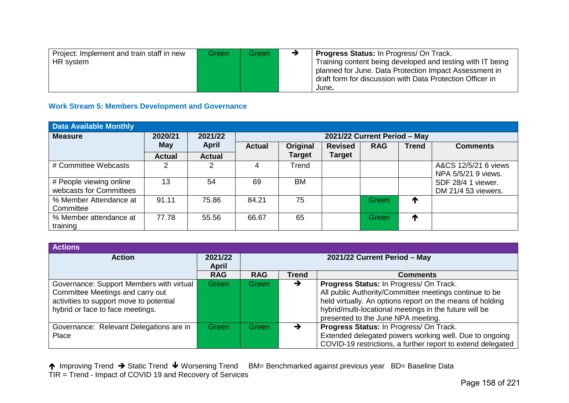| Project: Implement and train staff in new | Green | Green | <b>Progress Status:</b> In Progress/ On Track.             |
|-------------------------------------------|-------|-------|------------------------------------------------------------|
| HR system                                 |       |       | Training content being developed and testing with IT being |
|                                           |       |       | planned for June. Data Protection Impact Assessment in     |
|                                           |       |       | draft form for discussion with Data Protection Officer in  |
|                                           |       |       | June.                                                      |

#### **Work Stream 5: Members Development and Governance**

| <b>Data Available Monthly</b>                      |               |               |                              |               |                |            |              |                                             |  |
|----------------------------------------------------|---------------|---------------|------------------------------|---------------|----------------|------------|--------------|---------------------------------------------|--|
| <b>Measure</b>                                     | 2020/21       | 2021/22       | 2021/22 Current Period - May |               |                |            |              |                                             |  |
|                                                    | May           | <b>April</b>  | <b>Actual</b>                | Original      | <b>Revised</b> | <b>RAG</b> | <b>Trend</b> | <b>Comments</b>                             |  |
|                                                    | <b>Actual</b> | <b>Actual</b> |                              | <b>Target</b> | <b>Target</b>  |            |              |                                             |  |
| # Committee Webcasts                               | 2             | 2             |                              | Trend         |                |            |              | A&CS 12/5/21 6 views<br>NPA 5/5/21 9 views. |  |
| # People viewing online<br>webcasts for Committees | 13            | 54            | 69                           | BM            |                |            |              | SDF 28/4 1 viewer.<br>DM 21/4 53 viewers.   |  |
| % Member Attendance at<br>Committee                | 91.11         | 75.86         | 84.21                        | 75            |                | Green      | ↑            |                                             |  |
| % Member attendance at<br>training                 | 77.78         | 55.56         | 66.67                        | 65            |                | Green      | ↑            |                                             |  |

| <b>Actions</b>                                                                                                                                              |                         |                              |                                 |                                                                                                                                                                                                                                                                |  |  |  |
|-------------------------------------------------------------------------------------------------------------------------------------------------------------|-------------------------|------------------------------|---------------------------------|----------------------------------------------------------------------------------------------------------------------------------------------------------------------------------------------------------------------------------------------------------------|--|--|--|
| <b>Action</b>                                                                                                                                               | 2021/22<br><b>April</b> | 2021/22 Current Period - May |                                 |                                                                                                                                                                                                                                                                |  |  |  |
|                                                                                                                                                             | <b>RAG</b>              | <b>RAG</b>                   | <b>Trend</b><br><b>Comments</b> |                                                                                                                                                                                                                                                                |  |  |  |
| Governance: Support Members with virtual<br>Committee Meetings and carry out<br>activities to support move to potential<br>hybrid or face to face meetings. | Green                   | Green                        | →                               | Progress Status: In Progress/ On Track.<br>All public Authority/Committee meetings continue to be<br>held virtually. An options report on the means of holding<br>hybrid/multi-locational meetings in the future will be<br>presented to the June NPA meeting. |  |  |  |
| Governance: Relevant Delegations are in<br>Place                                                                                                            | Green                   | Green                        |                                 | Progress Status: In Progress/ On Track.<br>Extended delegated powers working well. Due to ongoing<br>COVID-19 restrictions, a further report to extend delegated                                                                                               |  |  |  |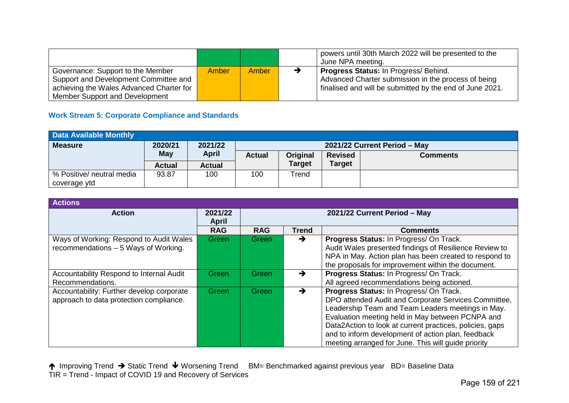|                                          |              |       | powers until 30th March 2022 will be presented to the<br>June NPA meeting. |
|------------------------------------------|--------------|-------|----------------------------------------------------------------------------|
| Governance: Support to the Member        | <b>Amber</b> | Amber | <b>Progress Status: In Progress/ Behind.</b>                               |
| Support and Development Committee and    |              |       | Advanced Charter submission in the process of being                        |
| achieving the Wales Advanced Charter for |              |       | finalised and will be submitted by the end of June 2021.                   |
| Member Support and Development           |              |       |                                                                            |

# **Work Stream 5: Corporate Compliance and Standards**

| <b>Data Available Monthly</b> |               |               |                                                                |               |               |  |  |  |  |
|-------------------------------|---------------|---------------|----------------------------------------------------------------|---------------|---------------|--|--|--|--|
| <b>Measure</b>                | 2020/21       | 2021/22       | 2021/22 Current Period - May                                   |               |               |  |  |  |  |
|                               | <b>May</b>    | <b>April</b>  | <b>Actual</b><br>Original<br><b>Revised</b><br><b>Comments</b> |               |               |  |  |  |  |
|                               | <b>Actual</b> | <b>Actual</b> |                                                                | <b>Target</b> | <b>Target</b> |  |  |  |  |
| % Positive/ neutral media     | 93.87         | 100           | 100                                                            | Trend         |               |  |  |  |  |
| coverage ytd                  |               |               |                                                                |               |               |  |  |  |  |

| <b>Actions</b>                                                                       |                                                         |            |       |                                                                                                                                                                                                                                                                                                                                                                                   |  |  |  |
|--------------------------------------------------------------------------------------|---------------------------------------------------------|------------|-------|-----------------------------------------------------------------------------------------------------------------------------------------------------------------------------------------------------------------------------------------------------------------------------------------------------------------------------------------------------------------------------------|--|--|--|
| <b>Action</b>                                                                        | 2021/22<br>2021/22 Current Period - May<br><b>April</b> |            |       |                                                                                                                                                                                                                                                                                                                                                                                   |  |  |  |
|                                                                                      | <b>RAG</b>                                              | <b>RAG</b> | Trend | <b>Comments</b>                                                                                                                                                                                                                                                                                                                                                                   |  |  |  |
| Ways of Working: Respond to Audit Wales<br>recommendations - 5 Ways of Working.      | <b>Green</b>                                            | Green      | →     | Progress Status: In Progress/ On Track.<br>Audit Wales presented findings of Resilience Review to<br>NPA in May. Action plan has been created to respond to<br>the proposals for improvement within the document.                                                                                                                                                                 |  |  |  |
| Accountability Respond to Internal Audit<br>Recommendations.                         | Green                                                   | Green      | →     | Progress Status: In Progress/ On Track.<br>All agreed recommendations being actioned.                                                                                                                                                                                                                                                                                             |  |  |  |
| Accountability: Further develop corporate<br>approach to data protection compliance. | Green                                                   | Green      | →     | Progress Status: In Progress/ On Track.<br>DPO attended Audit and Corporate Services Committee,<br>Leadership Team and Team Leaders meetings in May.<br>Evaluation meeting held in May between PCNPA and<br>Data2Action to look at current practices, policies, gaps<br>and to inform development of action plan, feedback<br>meeting arranged for June. This will guide priority |  |  |  |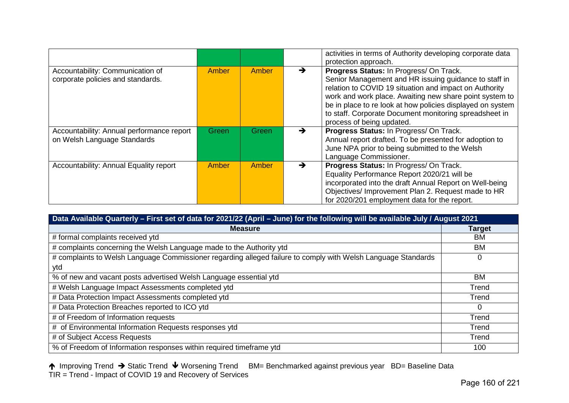|                                                                          |              |       |               | activities in terms of Authority developing corporate data<br>protection approach.                                                                                                                                                                                                                                                                                         |
|--------------------------------------------------------------------------|--------------|-------|---------------|----------------------------------------------------------------------------------------------------------------------------------------------------------------------------------------------------------------------------------------------------------------------------------------------------------------------------------------------------------------------------|
| Accountability: Communication of<br>corporate policies and standards.    | <b>Amber</b> | Amber | →             | Progress Status: In Progress/ On Track.<br>Senior Management and HR issuing guidance to staff in<br>relation to COVID 19 situation and impact on Authority<br>work and work place. Awaiting new share point system to<br>be in place to re look at how policies displayed on system<br>to staff. Corporate Document monitoring spreadsheet in<br>process of being updated. |
| Accountability: Annual performance report<br>on Welsh Language Standards | Green        | Green | →             | Progress Status: In Progress/ On Track.<br>Annual report drafted. To be presented for adoption to<br>June NPA prior to being submitted to the Welsh<br>Language Commissioner.                                                                                                                                                                                              |
| Accountability: Annual Equality report                                   | Amber        | Amber | $\rightarrow$ | Progress Status: In Progress/ On Track.<br>Equality Performance Report 2020/21 will be<br>incorporated into the draft Annual Report on Well-being<br>Objectives/ Improvement Plan 2. Request made to HR<br>for 2020/201 employment data for the report.                                                                                                                    |

| Data Available Quarterly - First set of data for 2021/22 (April - June) for the following will be available July / August 2021 |               |  |  |  |  |
|--------------------------------------------------------------------------------------------------------------------------------|---------------|--|--|--|--|
| <b>Measure</b>                                                                                                                 | <b>Target</b> |  |  |  |  |
| # formal complaints received ytd                                                                                               | <b>BM</b>     |  |  |  |  |
| # complaints concerning the Welsh Language made to the Authority ytd                                                           | ВM            |  |  |  |  |
| # complaints to Welsh Language Commissioner regarding alleged failure to comply with Welsh Language Standards                  | 0             |  |  |  |  |
| ytd                                                                                                                            |               |  |  |  |  |
| % of new and vacant posts advertised Welsh Language essential ytd                                                              | BM            |  |  |  |  |
| # Welsh Language Impact Assessments completed ytd                                                                              | Trend         |  |  |  |  |
| # Data Protection Impact Assessments completed ytd                                                                             | Trend         |  |  |  |  |
| # Data Protection Breaches reported to ICO ytd                                                                                 | $\Omega$      |  |  |  |  |
| # of Freedom of Information requests                                                                                           | Trend         |  |  |  |  |
| # of Environmental Information Requests responses ytd                                                                          | Trend         |  |  |  |  |
| # of Subject Access Requests                                                                                                   | Trend         |  |  |  |  |
| % of Freedom of Information responses within required timeframe ytd                                                            | 100           |  |  |  |  |